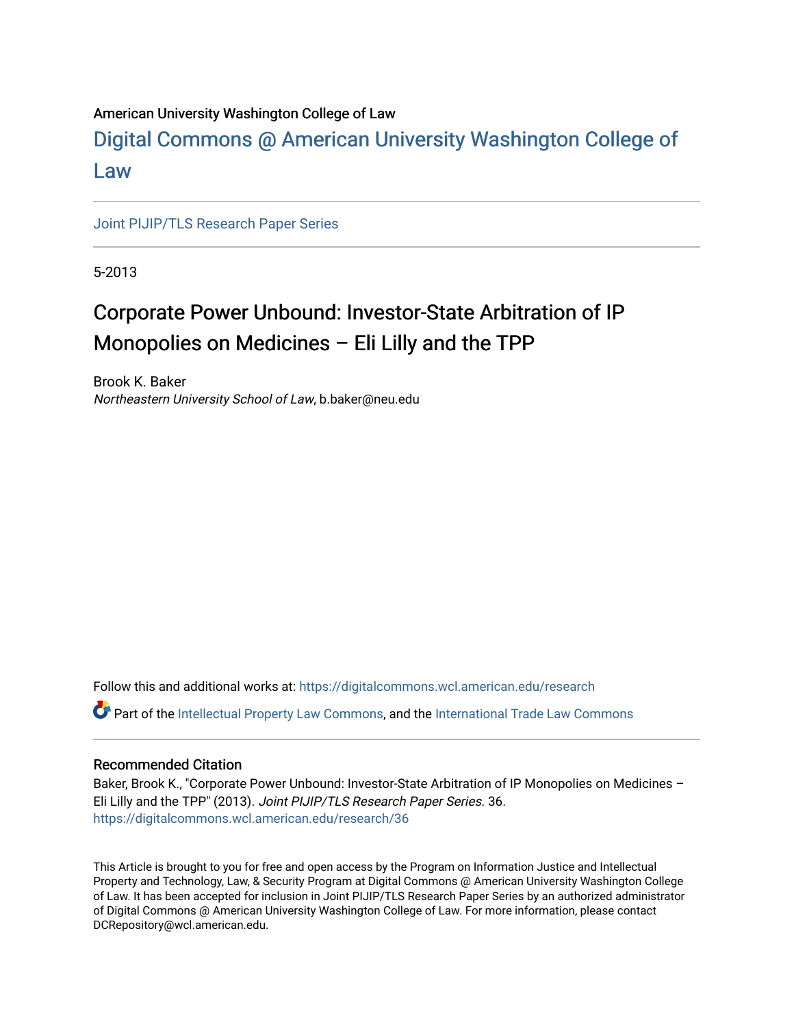# American University Washington College of Law

# [Digital Commons @ American University Washington College of](https://digitalcommons.wcl.american.edu/)  [Law](https://digitalcommons.wcl.american.edu/)

[Joint PIJIP/TLS Research Paper Series](https://digitalcommons.wcl.american.edu/research)

5-2013

# Corporate Power Unbound: Investor-State Arbitration of IP Monopolies on Medicines – Eli Lilly and the TPP

Brook K. Baker Northeastern University School of Law, b.baker@neu.edu

Follow this and additional works at: [https://digitalcommons.wcl.american.edu/research](https://digitalcommons.wcl.american.edu/research?utm_source=digitalcommons.wcl.american.edu%2Fresearch%2F36&utm_medium=PDF&utm_campaign=PDFCoverPages) 

Part of the [Intellectual Property Law Commons,](http://network.bepress.com/hgg/discipline/896?utm_source=digitalcommons.wcl.american.edu%2Fresearch%2F36&utm_medium=PDF&utm_campaign=PDFCoverPages) and the [International Trade Law Commons](http://network.bepress.com/hgg/discipline/848?utm_source=digitalcommons.wcl.american.edu%2Fresearch%2F36&utm_medium=PDF&utm_campaign=PDFCoverPages) 

#### Recommended Citation

Baker, Brook K., "Corporate Power Unbound: Investor-State Arbitration of IP Monopolies on Medicines -Eli Lilly and the TPP" (2013). Joint PIJIP/TLS Research Paper Series. 36. [https://digitalcommons.wcl.american.edu/research/36](https://digitalcommons.wcl.american.edu/research/36?utm_source=digitalcommons.wcl.american.edu%2Fresearch%2F36&utm_medium=PDF&utm_campaign=PDFCoverPages)

This Article is brought to you for free and open access by the Program on Information Justice and Intellectual Property and Technology, Law, & Security Program at Digital Commons @ American University Washington College of Law. It has been accepted for inclusion in Joint PIJIP/TLS Research Paper Series by an authorized administrator of Digital Commons @ American University Washington College of Law. For more information, please contact DCRepository@wcl.american.edu.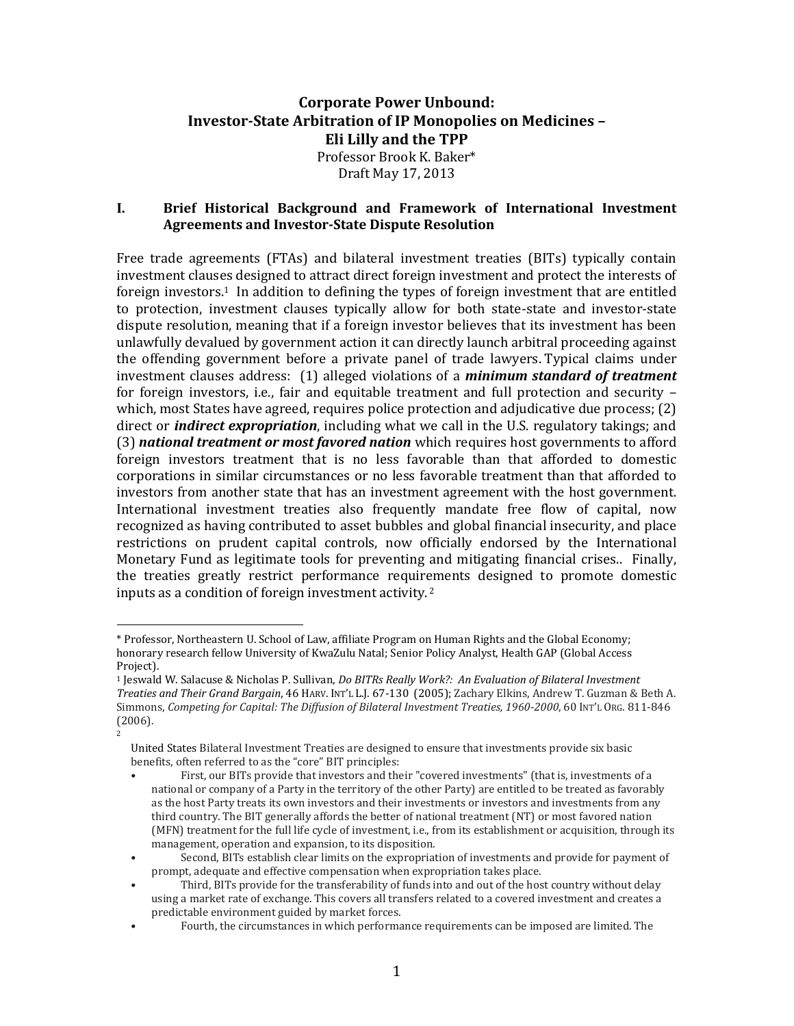# **Corporate Power Unbound: Investor-State Arbitration of IP Monopolies on Medicines – Eli Lilly and the TPP** Professor Brook K. Baker\* Draft May 17, 2013

#### **I. Brief Historical Background and Framework of International Investment Agreements and Investor-State Dispute Resolution**

Free trade agreements (FTAs) and bilateral investment treaties (BITs) typically contain investment clauses designed to attract direct foreign investment and protect the interests of foreign investors.<sup>1</sup> In addition to defining the types of foreign investment that are entitled to protection, investment clauses typically allow for both state-state and investor-state dispute resolution, meaning that if a foreign investor believes that its investment has been unlawfully devalued by government action it can directly launch arbitral proceeding against the offending government before a private panel of trade lawyers. Typical claims under investment clauses address: (1) alleged violations of a *minimum standard of treatment* for foreign investors, i.e., fair and equitable treatment and full protection and security – which, most States have agreed, requires police protection and adjudicative due process; (2) direct or *indirect expropriation*, including what we call in the U.S. regulatory takings; and (3) *national treatment or most favored nation* which requires host governments to afford foreign investors treatment that is no less favorable than that afforded to domestic corporations in similar circumstances or no less favorable treatment than that afforded to investors from another state that has an investment agreement with the host government. International investment treaties also frequently mandate free flow of capital, now recognized as having contributed to asset bubbles and global financial insecurity, and place restrictions on prudent capital controls, now officially endorsed by the International Monetary Fund as legitimate tools for preventing and mitigating financial crises.. Finally, the treaties greatly restrict performance requirements designed to promote domestic inputs as a condition of foreign investment activity. <sup>2</sup>

<sup>\*</sup> Professor, Northeastern U. School of Law, affiliate Program on Human Rights and the Global Economy; honorary research fellow University of KwaZulu Natal; Senior Policy Analyst, Health GAP (Global Access Project).

<sup>1</sup> Jeswald W. Salacuse & Nicholas P. Sullivan, *Do BITRs Really Work?: An Evaluation of Bilateral Investment Treaties and Their Grand Bargain*, 46 HARV. INT'L L.J. 67-130 (2005); Zachary Elkins, Andrew T. Guzman & Beth A. Simmons, *Competing for Capital: The Diffusion of Bilateral Investment Treaties, 1960-2000*, 60 In $T'$ L ORG. 811-846 (2006).

<sup>2</sup>

United States Bilateral Investment Treaties are designed to ensure that investments provide six basic benefits, often referred to as the "core" BIT principles:

<sup>•</sup> First, our BITs provide that investors and their "covered investments" (that is, investments of a national or company of a Party in the territory of the other Party) are entitled to be treated as favorably as the host Party treats its own investors and their investments or investors and investments from any third country. The BIT generally affords the better of national treatment (NT) or most favored nation (MFN) treatment for the full life cycle of investment, i.e., from its establishment or acquisition, through its management, operation and expansion, to its disposition.

<sup>•</sup> Second, BITs establish clear limits on the expropriation of investments and provide for payment of prompt, adequate and effective compensation when expropriation takes place.

<sup>•</sup> Third, BITs provide for the transferability of funds into and out of the host country without delay using a market rate of exchange. This covers all transfers related to a covered investment and creates a predictable environment guided by market forces.

<sup>•</sup> Fourth, the circumstances in which performance requirements can be imposed are limited. The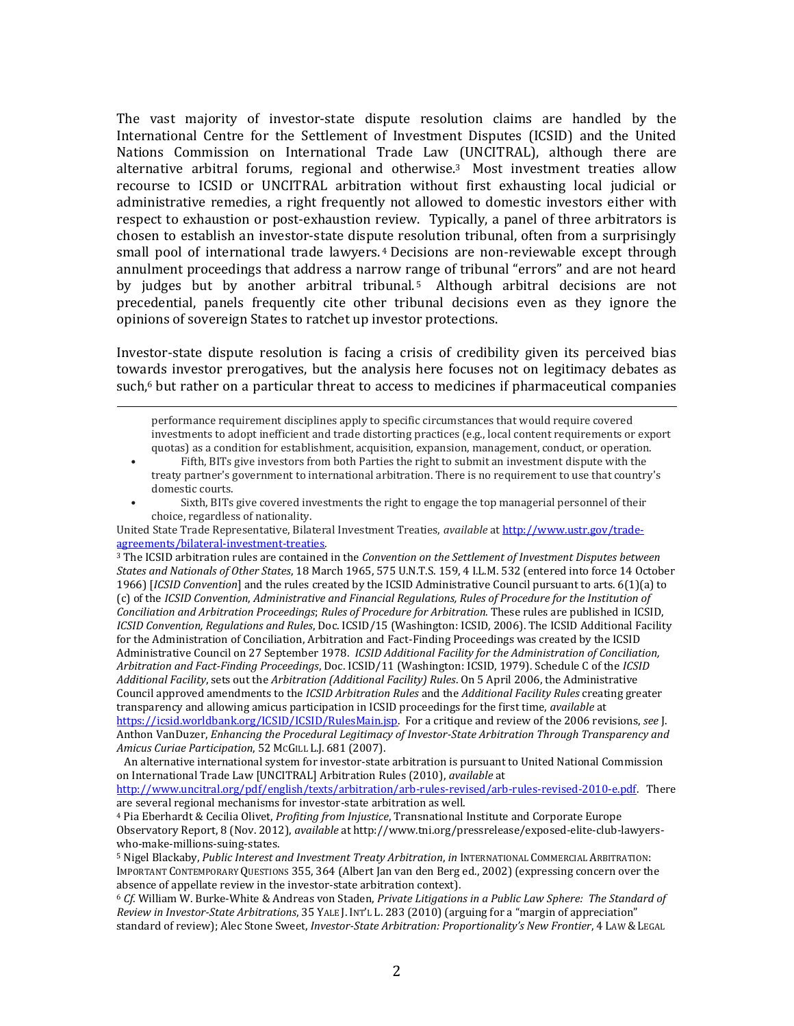The vast majority of investor-state dispute resolution claims are handled by the International Centre for the Settlement of Investment Disputes (ICSID) and the United Nations Commission on International Trade Law (UNCITRAL), although there are alternative arbitral forums, regional and otherwise.3 Most investment treaties allow recourse to ICSID or UNCITRAL arbitration without first exhausting local judicial or administrative remedies, a right frequently not allowed to domestic investors either with respect to exhaustion or post-exhaustion review. Typically, a panel of three arbitrators is chosen to establish an investor-state dispute resolution tribunal, often from a surprisingly small pool of international trade lawyers. <sup>4</sup> Decisions are non-reviewable except through annulment proceedings that address a narrow range of tribunal "errors" and are not heard by judges but by another arbitral tribunal.<sup>5</sup> Although arbitral decisions are not precedential, panels frequently cite other tribunal decisions even as they ignore the opinions of sovereign States to ratchet up investor protections.

Investor-state dispute resolution is facing a crisis of credibility given its perceived bias towards investor prerogatives, but the analysis here focuses not on legitimacy debates as such,<sup>6</sup> but rather on a particular threat to access to medicines if pharmaceutical companies

 $\overline{a}$ 

- Fifth, BITs give investors from both Parties the right to submit an investment dispute with the treaty partner's government to international arbitration. There is no requirement to use that country's domestic courts.
- Sixth, BITs give covered investments the right to engage the top managerial personnel of their choice, regardless of nationality.

United State Trade Representative, Bilateral Investment Treaties, *available* at [http://www.ustr.gov/trade](http://www.ustr.gov/trade-agreements/bilateral-investment-treaties)[agreements/bilateral-investment-treaties.](http://www.ustr.gov/trade-agreements/bilateral-investment-treaties) 

<sup>3</sup> The ICSID arbitration rules are contained in the *Convention on the Settlement of Investment Disputes between States and Nationals of Other States*, 18 March 1965, 575 U.N.T.S. 159, 4 I.L.M. 532 (entered into force 14 October 1966) [*ICSID Convention*] and the rules created by the ICSID Administrative Council pursuant to arts. 6(1)(a) to (c) of the *ICSID Convention*, *Administrative and Financial Regulations, Rules of Procedure for the Institution of Conciliation and Arbitration Proceedings*; *Rules of Procedure for Arbitration*. These rules are published in ICSID, *ICSID Convention, Regulations and Rules*, Doc. ICSID/15 (Washington: ICSID, 2006). The ICSID Additional Facility for the Administration of Conciliation, Arbitration and Fact-Finding Proceedings was created by the ICSID Administrative Council on 27 September 1978. *ICSID Additional Facility for the Administration of Conciliation, Arbitration and Fact-Finding Proceedings*, Doc. ICSID/11 (Washington: ICSID, 1979). Schedule C of the *ICSID Additional Facility*, sets out the *Arbitration (Additional Facility) Rules*. On 5 April 2006, the Administrative Council approved amendments to the *ICSID Arbitration Rules* and the *Additional Facility Rules* creating greater transparency and allowing amicus participation in ICSID proceedings for the first time, *available* at [https://icsid.worldbank.org/ICSID/ICSID/RulesMain.jsp.](https://icsid.worldbank.org/ICSID/ICSID/RulesMain.jsp) For a critique and review of the 2006 revisions, *see* J. Anthon VanDuzer, *Enhancing the Procedural Legitimacy of Investor-State Arbitration Through Transparency and Amicus Curiae Participation*, 52 MCGILL L.J. 681 (2007).

[http://www.uncitral.org/pdf/english/texts/arbitration/arb-rules-revised/arb-rules-revised-2010-e.pdf.](http://www.uncitral.org/pdf/english/texts/arbitration/arb-rules-revised/arb-rules-revised-2010-e.pdf) There are several regional mechanisms for investor-state arbitration as well.

performance requirement disciplines apply to specific circumstances that would require covered investments to adopt inefficient and trade distorting practices (e.g., local content requirements or export quotas) as a condition for establishment, acquisition, expansion, management, conduct, or operation.

An alternative international system for investor-state arbitration is pursuant to United National Commission on International Trade Law [UNCITRAL] Arbitration Rules (2010), *available* at

<sup>4</sup> Pia Eberhardt & Cecilia Olivet, *Profiting from Injustice*, Transnational Institute and Corporate Europe Observatory Report, 8 (Nov. 2012), *available* at http://www.tni.org/pressrelease/exposed-elite-club-lawyerswho-make-millions-suing-states.

<sup>5</sup> Nigel Blackaby, *Public Interest and Investment Treaty Arbitration*, *in* INTERNATIONAL COMMERCIAL ARBITRATION: IMPORTANT CONTEMPORARY QUESTIONS 355, 364 (Albert Jan van den Berg ed., 2002) (expressing concern over the absence of appellate review in the investor-state arbitration context).

<sup>6</sup> *Cf*. William W. Burke-White & Andreas von Staden, *Private Litigations in a Public Law Sphere: The Standard of Review in Investor-State Arbitrations*, 35 YALE J. INT'L L. 283 (2010) (arguing for a "margin of appreciation" standard of review); Alec Stone Sweet, *Investor-State Arbitration: Proportionality's New Frontier*, 4 LAW & LEGAL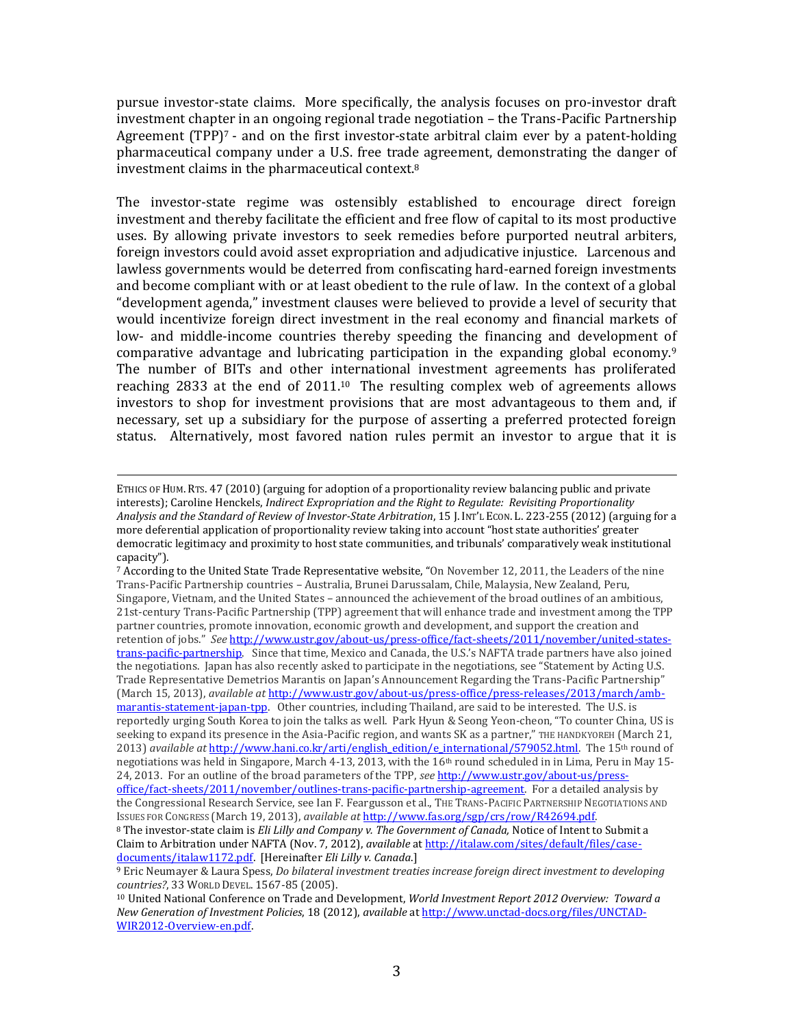pursue investor-state claims. More specifically, the analysis focuses on pro-investor draft investment chapter in an ongoing regional trade negotiation – the Trans-Pacific Partnership Agreement (TPP)<sup>7</sup> - and on the first investor-state arbitral claim ever by a patent-holding pharmaceutical company under a U.S. free trade agreement, demonstrating the danger of investment claims in the pharmaceutical context.<sup>8</sup>

The investor-state regime was ostensibly established to encourage direct foreign investment and thereby facilitate the efficient and free flow of capital to its most productive uses. By allowing private investors to seek remedies before purported neutral arbiters, foreign investors could avoid asset expropriation and adjudicative injustice. Larcenous and lawless governments would be deterred from confiscating hard-earned foreign investments and become compliant with or at least obedient to the rule of law. In the context of a global "development agenda," investment clauses were believed to provide a level of security that would incentivize foreign direct investment in the real economy and financial markets of low- and middle-income countries thereby speeding the financing and development of comparative advantage and lubricating participation in the expanding global economy.<sup>9</sup> The number of BITs and other international investment agreements has proliferated reaching 2833 at the end of  $2011^{10}$  The resulting complex web of agreements allows investors to shop for investment provisions that are most advantageous to them and, if necessary, set up a subsidiary for the purpose of asserting a preferred protected foreign status. Alternatively, most favored nation rules permit an investor to argue that it is

ETHICS OF HUM. RTS. 47 (2010) (arguing for adoption of a proportionality review balancing public and private interests); Caroline Henckels, *Indirect Expropriation and the Right to Regulate: Revisiting Proportionality Analysis and the Standard of Review of Investor-State Arbitration*, 15 J. INT'L ECON. L. 223-255 (2012) (arguing for a more deferential application of proportionality review taking into account "host state authorities' greater democratic legitimacy and proximity to host state communities, and tribunals' comparatively weak institutional capacity").

<sup>7</sup> According to the United State Trade Representative website, "On November 12, 2011, the Leaders of the nine Trans-Pacific Partnership countries – Australia, Brunei Darussalam, Chile, Malaysia, New Zealand, Peru, Singapore, Vietnam, and the United States – announced the achievement of the broad outlines of an ambitious, 21st-century Trans-Pacific Partnership (TPP) agreement that will enhance trade and investment among the TPP partner countries, promote innovation, economic growth and development, and support the creation and retention of jobs." *See* [http://www.ustr.gov/about-us/press-office/fact-sheets/2011/november/united-states](http://www.ustr.gov/about-us/press-office/fact-sheets/2011/november/united-states-trans-pacific-partnership)[trans-pacific-partnership](http://www.ustr.gov/about-us/press-office/fact-sheets/2011/november/united-states-trans-pacific-partnership). Since that time, Mexico and Canada, the U.S.'s NAFTA trade partners have also joined the negotiations. Japan has also recently asked to participate in the negotiations, see "Statement by Acting U.S. Trade Representative Demetrios Marantis on Japan's Announcement Regarding the Trans-Pacific Partnership" (March 15, 2013), *available at* [http://www.ustr.gov/about-us/press-office/press-releases/2013/march/amb](http://www.ustr.gov/about-us/press-office/press-releases/2013/march/amb-marantis-statement-japan-tpp)[marantis-statement-japan-tpp.](http://www.ustr.gov/about-us/press-office/press-releases/2013/march/amb-marantis-statement-japan-tpp) Other countries, including Thailand, are said to be interested. The U.S. is reportedly urging South Korea to join the talks as well. Park Hyun & Seong Yeon-cheon, "To counter China, US is seeking to expand its presence in the Asia-Pacific region, and wants SK as a partner," THE HANDKYOREH (March 21, 2013) *available at* [http://www.hani.co.kr/arti/english\\_edition/e\\_international/579052.html.](http://www.hani.co.kr/arti/english_edition/e_international/579052.html) The 15<sup>th</sup> round of negotiations was held in Singapore, March 4-13, 2013, with the 16th round scheduled in in Lima, Peru in May 15- 24, 2013. For an outline of the broad parameters of the TPP, *see* [http://www.ustr.gov/about-us/press](http://www.ustr.gov/about-us/press-office/fact-sheets/2011/november/outlines-trans-pacific-partnership-agreement)[office/fact-sheets/2011/november/outlines-trans-pacific-partnership-agreement.](http://www.ustr.gov/about-us/press-office/fact-sheets/2011/november/outlines-trans-pacific-partnership-agreement) For a detailed analysis by

the Congressional Research Service, see Ian F. Feargusson et al., THE TRANS-PACIFIC PARTNERSHIP NEGOTIATIONS AND ISSUES FOR CONGRESS (March 19, 2013), *available at* [http://www.fas.org/sgp/crs/row/R42694.pdf.](http://www.fas.org/sgp/crs/row/R42694.pdf)

<sup>8</sup> The investor-state claim is *Eli Lilly and Company v. The Government of Canada,* Notice of Intent to Submit a Claim to Arbitration under NAFTA (Nov. 7, 2012), *available* a[t http://italaw.com/sites/default/files/case](http://italaw.com/sites/default/files/case-documents/italaw1172.pdf)[documents/italaw1172.pdf.](http://italaw.com/sites/default/files/case-documents/italaw1172.pdf) [Hereinafter *Eli Lilly v. Canada*.]

<sup>9</sup> Eric Neumayer & Laura Spess, *Do bilateral investment treaties increase foreign direct investment to developing countries?*, 33 WORLD DEVEL. 1567-85 (2005).

<sup>10</sup> United National Conference on Trade and Development, *World Investment Report 2012 Overview: Toward a New Generation of Investment Policies*, 18 (2012), *available* a[t http://www.unctad-docs.org/files/UNCTAD-](http://www.unctad-docs.org/files/UNCTAD-WIR2012-Overview-en.pdf)[WIR2012-Overview-en.pdf.](http://www.unctad-docs.org/files/UNCTAD-WIR2012-Overview-en.pdf)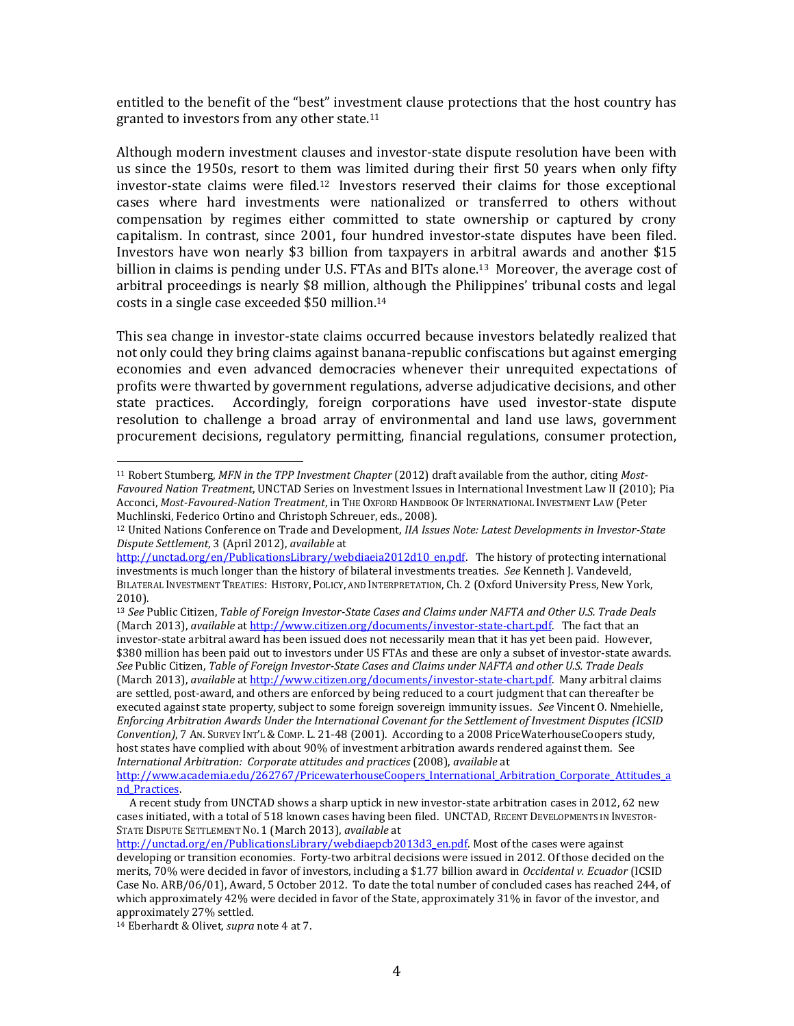entitled to the benefit of the "best" investment clause protections that the host country has granted to investors from any other state.<sup>11</sup>

Although modern investment clauses and investor-state dispute resolution have been with us since the 1950s, resort to them was limited during their first 50 years when only fifty investor-state claims were filed.12 Investors reserved their claims for those exceptional cases where hard investments were nationalized or transferred to others without compensation by regimes either committed to state ownership or captured by crony capitalism. In contrast, since 2001, four hundred investor-state disputes have been filed. Investors have won nearly \$3 billion from taxpayers in arbitral awards and another \$15 billion in claims is pending under U.S. FTAs and BITs alone.<sup>13</sup> Moreover, the average cost of arbitral proceedings is nearly \$8 million, although the Philippines' tribunal costs and legal costs in a single case exceeded \$50 million.<sup>14</sup>

This sea change in investor-state claims occurred because investors belatedly realized that not only could they bring claims against banana-republic confiscations but against emerging economies and even advanced democracies whenever their unrequited expectations of profits were thwarted by government regulations, adverse adjudicative decisions, and other state practices. Accordingly, foreign corporations have used investor-state dispute resolution to challenge a broad array of environmental and land use laws, government procurement decisions, regulatory permitting, financial regulations, consumer protection,

 $\overline{a}$ <sup>11</sup> Robert Stumberg, *MFN in the TPP Investment Chapter* (2012) draft available from the author, citing *Most-Favoured Nation Treatment*, UNCTAD Series on Investment Issues in International Investment Law II (2010); Pia Acconci, *Most-Favoured-Nation Treatment*, in THE OXFORD HANDBOOK OF INTERNATIONAL INVESTMENT LAW (Peter Muchlinski, Federico Ortino and Christoph Schreuer, eds., 2008).

<sup>12</sup> United Nations Conference on Trade and Development, *IIA Issues Note: Latest Developments in Investor-State Dispute Settlement*, 3 (April 2012), *available* at

[http://unctad.org/en/PublicationsLibrary/webdiaeia2012d10\\_en.pdf.](http://unctad.org/en/PublicationsLibrary/webdiaeia2012d10_en.pdf) The history of protecting international investments is much longer than the history of bilateral investments treaties. *See* Kenneth J. Vandeveld, BILATERAL INVESTMENT TREATIES: HISTORY, POLICY, AND INTERPRETATION, Ch. 2 (Oxford University Press, New York, 2010).

<sup>13</sup> *See* Public Citizen, *Table of Foreign Investor-State Cases and Claims under NAFTA and Other U.S. Trade Deals* (March 2013), *available* at [http://www.citizen.org/documents/investor-state-chart.pdf.](http://www.citizen.org/documents/investor-state-chart.pdf) The fact that an investor-state arbitral award has been issued does not necessarily mean that it has yet been paid. However, \$380 million has been paid out to investors under US FTAs and these are only a subset of investor-state awards. *See* Public Citizen, *Table of Foreign Investor-State Cases and Claims under NAFTA and other U.S. Trade Deals* (March 2013), *available* at [http://www.citizen.org/documents/investor-state-chart.pdf.](http://www.citizen.org/documents/investor-state-chart.pdf) Many arbitral claims are settled, post-award, and others are enforced by being reduced to a court judgment that can thereafter be executed against state property, subject to some foreign sovereign immunity issues. *See* Vincent O. Nmehielle, *Enforcing Arbitration Awards Under the International Covenant for the Settlement of Investment Disputes (ICSID Convention)*, 7 AN. SURVEY INT'L & COMP. L. 21-48 (2001). According to a 2008 PriceWaterhouseCoopers study, host states have complied with about 90% of investment arbitration awards rendered against them. See *International Arbitration: Corporate attitudes and practices* (2008), *available* at [http://www.academia.edu/262767/PricewaterhouseCoopers\\_International\\_Arbitration\\_Corporate\\_Attitudes\\_a](http://www.academia.edu/262767/PricewaterhouseCoopers_International_Arbitration_Corporate_Attitudes_and_Practices)

[nd\\_Practices.](http://www.academia.edu/262767/PricewaterhouseCoopers_International_Arbitration_Corporate_Attitudes_and_Practices) 

A recent study from UNCTAD shows a sharp uptick in new investor-state arbitration cases in 2012, 62 new cases initiated, with a total of 518 known cases having been filed. UNCTAD, RECENT DEVELOPMENTS IN INVESTOR-STATE DISPUTE SETTLEMENT NO. 1 (March 2013), *available* at

[http://unctad.org/en/PublicationsLibrary/webdiaepcb2013d3\\_en.pdf.](http://unctad.org/en/PublicationsLibrary/webdiaepcb2013d3_en.pdf) Most of the cases were against developing or transition economies. Forty-two arbitral decisions were issued in 2012. Of those decided on the merits, 70% were decided in favor of investors, including a \$1.77 billion award in *Occidental v. Ecuador* (ICSID Case No. ARB/06/01), Award, 5 October 2012. To date the total number of concluded cases has reached 244, of which approximately 42% were decided in favor of the State, approximately 31% in favor of the investor, and approximately 27% settled.

<sup>14</sup> Eberhardt & Olivet, *supra* note 4 at 7.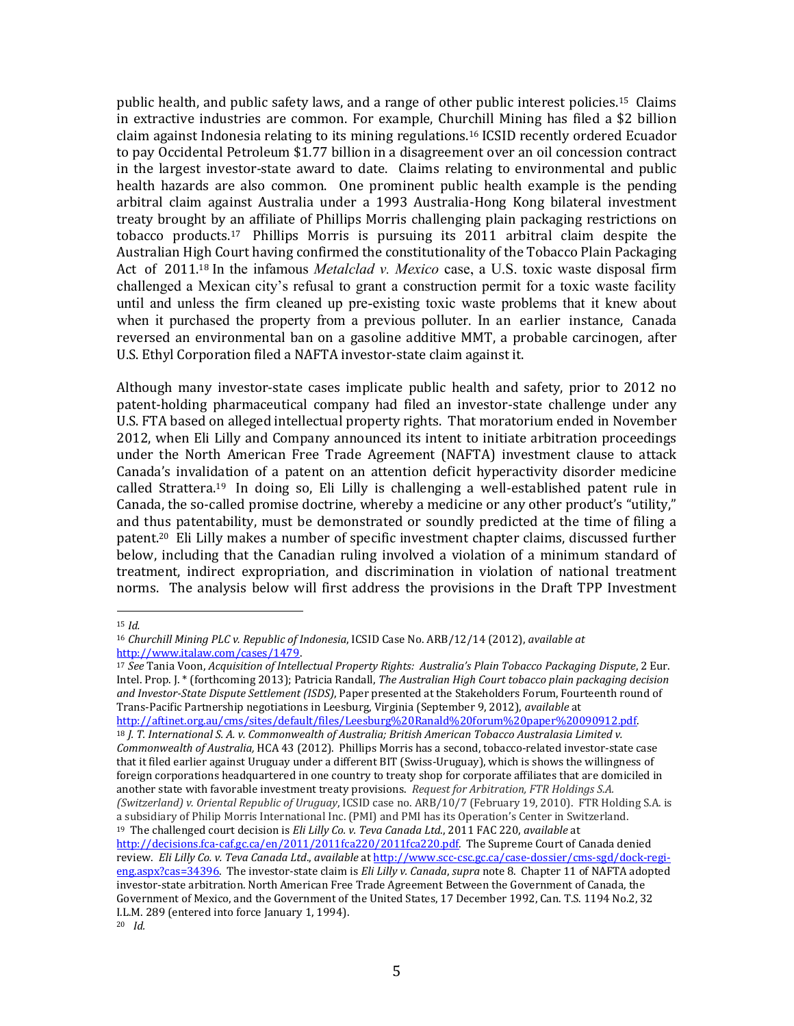public health, and public safety laws, and a range of other public interest policies.15 Claims in extractive industries are common. For example, Churchill Mining has filed a \$2 billion claim against Indonesia relating to its mining regulations.<sup>16</sup> ICSID recently ordered Ecuador to pay Occidental Petroleum \$1.77 billion in a disagreement over an oil concession contract in the largest investor-state award to date. Claims relating to environmental and public health hazards are also common. One prominent public health example is the pending arbitral claim against Australia under a 1993 Australia-Hong Kong bilateral investment treaty brought by an affiliate of Phillips Morris challenging plain packaging restrictions on tobacco products.17 Phillips Morris is pursuing its 2011 arbitral claim despite the Australian High Court having confirmed the constitutionality of the Tobacco Plain Packaging Act of 2011.<sup>18</sup> In the infamous *Metalclad v. Mexico* case, a U.S. toxic waste disposal firm challenged a Mexican city's refusal to grant a construction permit for a toxic waste facility until and unless the firm cleaned up pre-existing toxic waste problems that it knew about when it purchased the property from a previous polluter. In an earlier instance, Canada reversed an environmental ban on a gasoline additive MMT, a probable carcinogen, after U.S. Ethyl Corporation filed a NAFTA investor-state claim against it.

Although many investor-state cases implicate public health and safety, prior to 2012 no patent-holding pharmaceutical company had filed an investor-state challenge under any U.S. FTA based on alleged intellectual property rights. That moratorium ended in November 2012, when Eli Lilly and Company announced its intent to initiate arbitration proceedings under the North American Free Trade Agreement (NAFTA) investment clause to attack Canada's invalidation of a patent on an attention deficit hyperactivity disorder medicine called Strattera.<sup>19</sup> In doing so, Eli Lilly is challenging a well-established patent rule in Canada, the so-called promise doctrine, whereby a medicine or any other product's "utility," and thus patentability, must be demonstrated or soundly predicted at the time of filing a patent.20 Eli Lilly makes a number of specific investment chapter claims, discussed further below, including that the Canadian ruling involved a violation of a minimum standard of treatment, indirect expropriation, and discrimination in violation of national treatment norms. The analysis below will first address the provisions in the Draft TPP Investment

l

<sup>15</sup> *Id.*

<sup>16</sup> *Churchill Mining PLC v. Republic of Indonesia*, ICSID Case No. ARB/12/14 (2012), *available at* [http://www.italaw.com/cases/1479.](http://www.italaw.com/cases/1479)

<sup>17</sup> *See* Tania Voon, *Acquisition of Intellectual Property Rights: Australia's Plain Tobacco Packaging Dispute*, 2 Eur. Intel. Prop. J. \* (forthcoming 2013); Patricia Randall, *The Australian High Court tobacco plain packaging decision and Investor-State Dispute Settlement (ISDS)*, Paper presented at the Stakeholders Forum, Fourteenth round of Trans-Pacific Partnership negotiations in Leesburg, Virginia (September 9, 2012), *available* at [http://aftinet.org.au/cms/sites/default/files/Leesburg%20Ranald%20forum%20paper%20090912.pdf.](http://aftinet.org.au/cms/sites/default/files/Leesburg%20Ranald%20forum%20paper%20090912.pdf)  <sup>18</sup> *J. T. International S. A. v. Commonwealth of Australia; British American Tobacco Australasia Limited v. Commonwealth of Australia,* HCA 43 (2012). Phillips Morris has a second, tobacco-related investor-state case that it filed earlier against Uruguay under a different BIT (Swiss-Uruguay), which is shows the willingness of foreign corporations headquartered in one country to treaty shop for corporate affiliates that are domiciled in another state with favorable investment treaty provisions. *Request for Arbitration, FTR Holdings S.A. (Switzerland) v. Oriental Republic of Uruguay*, ICSID case no. ARB/10/7 (February 19, 2010). FTR Holding S.A. is a subsidiary of Philip Morris International Inc. (PMI) and PMI has its Operation's Center in Switzerland. <sup>19</sup> The challenged court decision is *Eli Lilly Co. v. Teva Canada Ltd*., 2011 FAC 220, *available* at [http://decisions.fca-caf.gc.ca/en/2011/2011fca220/2011fca220.pdf.](http://decisions.fca-caf.gc.ca/en/2011/2011fca220/2011fca220.pdf) The Supreme Court of Canada denied review. *Eli Lilly Co. v. Teva Canada Ltd*., *available* a[t http://www.scc-csc.gc.ca/case-dossier/cms-sgd/dock-regi-](http://www.scc-csc.gc.ca/case-dossier/cms-sgd/dock-regi-eng.aspx?cas=34396)

[eng.aspx?cas=34396.](http://www.scc-csc.gc.ca/case-dossier/cms-sgd/dock-regi-eng.aspx?cas=34396) The investor-state claim is *Eli Lilly v. Canada*, *supra* note 8. Chapter 11 of NAFTA adopted investor-state arbitration. North American Free Trade Agreement Between the Government of Canada, the Government of Mexico, and the Government of the United States, 17 December 1992, Can. T.S. 1194 No.2, 32 I.L.M. 289 (entered into force January 1, 1994).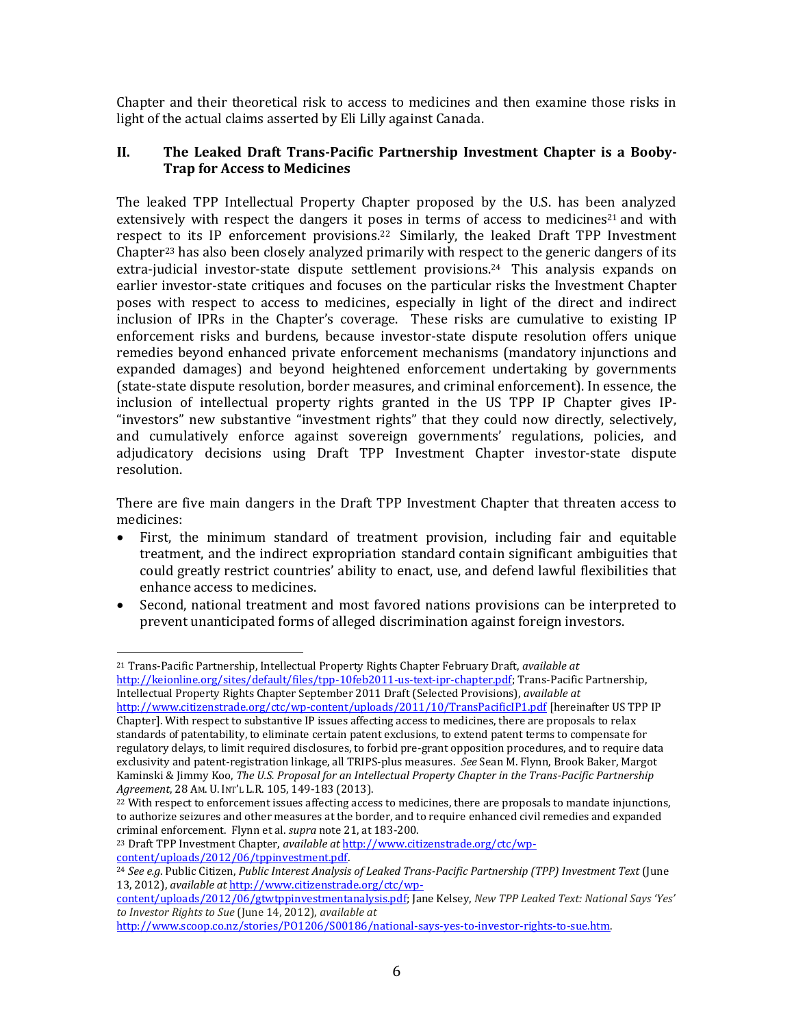Chapter and their theoretical risk to access to medicines and then examine those risks in light of the actual claims asserted by Eli Lilly against Canada.

#### **II. The Leaked Draft Trans-Pacific Partnership Investment Chapter is a Booby-Trap for Access to Medicines**

The leaked TPP Intellectual Property Chapter proposed by the U.S. has been analyzed extensively with respect the dangers it poses in terms of access to medicines<sup>21</sup> and with respect to its IP enforcement provisions.22 Similarly, the leaked Draft TPP Investment Chapter<sup>23</sup> has also been closely analyzed primarily with respect to the generic dangers of its extra-judicial investor-state dispute settlement provisions.24 This analysis expands on earlier investor-state critiques and focuses on the particular risks the Investment Chapter poses with respect to access to medicines, especially in light of the direct and indirect inclusion of IPRs in the Chapter's coverage. These risks are cumulative to existing IP enforcement risks and burdens, because investor-state dispute resolution offers unique remedies beyond enhanced private enforcement mechanisms (mandatory injunctions and expanded damages) and beyond heightened enforcement undertaking by governments (state-state dispute resolution, border measures, and criminal enforcement). In essence, the inclusion of intellectual property rights granted in the US TPP IP Chapter gives IP- "investors" new substantive "investment rights" that they could now directly, selectively, and cumulatively enforce against sovereign governments' regulations, policies, and adjudicatory decisions using Draft TPP Investment Chapter investor-state dispute resolution.

There are five main dangers in the Draft TPP Investment Chapter that threaten access to medicines:

- First, the minimum standard of treatment provision, including fair and equitable treatment, and the indirect expropriation standard contain significant ambiguities that could greatly restrict countries' ability to enact, use, and defend lawful flexibilities that enhance access to medicines.
- Second, national treatment and most favored nations provisions can be interpreted to prevent unanticipated forms of alleged discrimination against foreign investors.

<sup>21</sup> Trans-Pacific Partnership, Intellectual Property Rights Chapter February Draft, *available at*  [http://keionline.org/sites/default/files/tpp-10feb2011-us-text-ipr-chapter.pdf;](http://keionline.org/sites/default/files/tpp-10feb2011-us-text-ipr-chapter.pdf) Trans-Pacific Partnership, Intellectual Property Rights Chapter September 2011 Draft (Selected Provisions), *available at*  <http://www.citizenstrade.org/ctc/wp-content/uploads/2011/10/TransPacificIP1.pdf> [hereinafter US TPP IP Chapter]. With respect to substantive IP issues affecting access to medicines, there are proposals to relax standards of patentability, to eliminate certain patent exclusions, to extend patent terms to compensate for regulatory delays, to limit required disclosures, to forbid pre-grant opposition procedures, and to require data exclusivity and patent-registration linkage, all TRIPS-plus measures. *See* Sean M. Flynn, Brook Baker, Margot Kaminski & Jimmy Koo, *The U.S. Proposal for an Intellectual Property Chapter in the Trans-Pacific Partnership Agreement*, 28 AM. U. INT'L L.R. 105, 149-183 (2013).

<sup>&</sup>lt;sup>22</sup> With respect to enforcement issues affecting access to medicines, there are proposals to mandate injunctions, to authorize seizures and other measures at the border, and to require enhanced civil remedies and expanded criminal enforcement. Flynn et al. *supra* note 21, at 183-200.

<sup>23</sup> Draft TPP Investment Chapter, *available at* [http://www.citizenstrade.org/ctc/wp](http://www.citizenstrade.org/ctc/wp-content/uploads/2012/06/tppinvestment.pdf)[content/uploads/2012/06/tppinvestment.pdf.](http://www.citizenstrade.org/ctc/wp-content/uploads/2012/06/tppinvestment.pdf)

<sup>24</sup> *See e.g*. Public Citizen, *Public Interest Analysis of Leaked Trans-Pacific Partnership (TPP) Investment Text* (June 13, 2012), *available at* [http://www.citizenstrade.org/ctc/wp-](http://www.citizenstrade.org/ctc/wp-content/uploads/2012/06/gtwtppinvestmentanalysis.pdf)

[content/uploads/2012/06/gtwtppinvestmentanalysis.pdf;](http://www.citizenstrade.org/ctc/wp-content/uploads/2012/06/gtwtppinvestmentanalysis.pdf) Jane Kelsey, *New TPP Leaked Text: National Says 'Yes' to Investor Rights to Sue* (June 14, 2012), *available at*

[http://www.scoop.co.nz/stories/PO1206/S00186/national-says-yes-to-investor-rights-to-sue.htm.](http://www.scoop.co.nz/stories/PO1206/S00186/national-says-yes-to-investor-rights-to-sue.htm)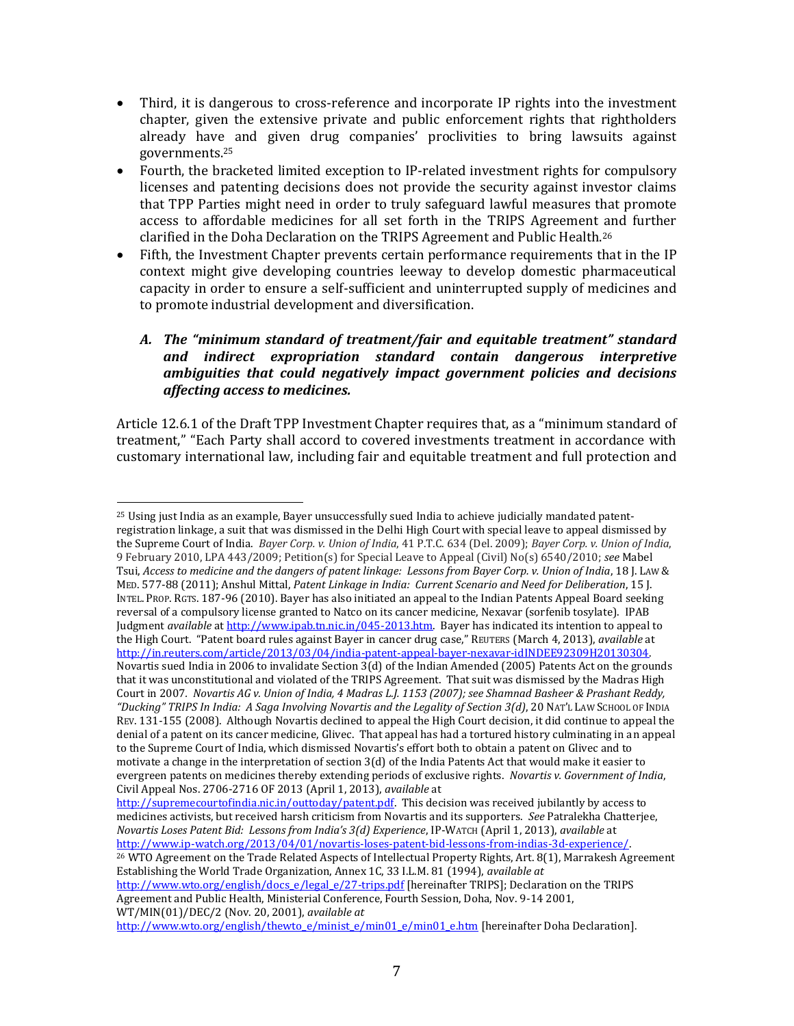- Third, it is dangerous to cross-reference and incorporate IP rights into the investment chapter, given the extensive private and public enforcement rights that rightholders already have and given drug companies' proclivities to bring lawsuits against governments.<sup>25</sup>
- Fourth, the bracketed limited exception to IP-related investment rights for compulsory licenses and patenting decisions does not provide the security against investor claims that TPP Parties might need in order to truly safeguard lawful measures that promote access to affordable medicines for all set forth in the TRIPS Agreement and further clarified in the Doha Declaration on the TRIPS Agreement and Public Health.<sup>26</sup>
- Fifth, the Investment Chapter prevents certain performance requirements that in the IP context might give developing countries leeway to develop domestic pharmaceutical capacity in order to ensure a self-sufficient and uninterrupted supply of medicines and to promote industrial development and diversification.

## *A. The "minimum standard of treatment/fair and equitable treatment" standard and indirect expropriation standard contain dangerous interpretive ambiguities that could negatively impact government policies and decisions affecting access to medicines.*

Article 12.6.1 of the Draft TPP Investment Chapter requires that, as a "minimum standard of treatment," "Each Party shall accord to covered investments treatment in accordance with customary international law, including fair and equitable treatment and full protection and

l

[http://supremecourtofindia.nic.in/outtoday/patent.pdf.](http://supremecourtofindia.nic.in/outtoday/patent.pdf) This decision was received jubilantly by access to medicines activists, but received harsh criticism from Novartis and its supporters. *See* Patralekha Chatterjee, *Novartis Loses Patent Bid: Lessons from India's 3(d) Experience*, IP-WATCH (April 1, 2013), *available* at [http://www.ip-watch.org/2013/04/01/novartis-loses-patent-bid-lessons-from-indias-3d-experience/.](http://www.ip-watch.org/2013/04/01/novartis-loses-patent-bid-lessons-from-indias-3d-experience/) 

<sup>26</sup> WTO Agreement on the Trade Related Aspects of Intellectual Property Rights, Art. 8(1), Marrakesh Agreement Establishing the World Trade Organization, Annex 1C, 33 I.L.M. 81 (1994), *available at* 

<sup>25</sup> Using just India as an example, Bayer unsuccessfully sued India to achieve judicially mandated patentregistration linkage, a suit that was dismissed in the Delhi High Court with special leave to appeal dismissed by the Supreme Court of India. *Bayer Corp. v. Union of India*, 41 P.T.C. 634 (Del. 2009); *Bayer Corp. v. Union of India*, 9 February 2010, LPA 443/2009; Petition(s) for Special Leave to Appeal (Civil) No(s) 6540/2010; *see* Mabel Tsui, *Access to medicine and the dangers of patent linkage: Lessons from Bayer Corp. v. Union of India*, 18 J. LAW & MED. 577-88 (2011); Anshul Mittal, *Patent Linkage in India: Current Scenario and Need for Deliberation*, 15 J. INTEL. PROP. RGTS. 187-96 (2010). Bayer has also initiated an appeal to the Indian Patents Appeal Board seeking reversal of a compulsory license granted to Natco on its cancer medicine, Nexavar (sorfenib tosylate). IPAB Judgment *available* at [http://www.ipab.tn.nic.in/045-2013.htm.](http://www.ipab.tn.nic.in/045-2013.htm) Bayer has indicated its intention to appeal to the High Court. "Patent board rules against Bayer in cancer drug case," REUTERS (March 4, 2013), *available* at [http://in.reuters.com/article/2013/03/04/india-patent-appeal-bayer-nexavar-idINDEE92309H20130304.](http://in.reuters.com/article/2013/03/04/india-patent-appeal-bayer-nexavar-idINDEE92309H20130304)  Novartis sued India in 2006 to invalidate Section 3(d) of the Indian Amended (2005) Patents Act on the grounds that it was unconstitutional and violated of the TRIPS Agreement. That suit was dismissed by the Madras High Court in 2007*. Novartis AG v. Union of India, 4 Madras L.J. 1153 (2007); see Shamnad Basheer & Prashant Reddy, "Ducking" TRIPS In India: A Saga Involving Novartis and the Legality of Section 3(d)*, 20 NAT'L LAW SCHOOL OF INDIA REV. 131-155 (2008). Although Novartis declined to appeal the High Court decision, it did continue to appeal the denial of a patent on its cancer medicine, Glivec. That appeal has had a tortured history culminating in an appeal to the Supreme Court of India, which dismissed Novartis's effort both to obtain a patent on Glivec and to motivate a change in the interpretation of section 3(d) of the India Patents Act that would make it easier to evergreen patents on medicines thereby extending periods of exclusive rights. *Novartis v. Government of India*, Civil Appeal Nos. 2706-2716 OF 2013 (April 1, 2013), *available* at

[http://www.wto.org/english/docs\\_e/legal\\_e/27-trips.pdf](http://www.wto.org/english/docs_e/legal_e/27-trips.pdf) [hereinafter TRIPS]; Declaration on the TRIPS Agreement and Public Health, Ministerial Conference, Fourth Session, Doha, Nov. 9-14 2001, WT/MIN(01)/DEC/2 (Nov. 20, 2001), *available at* 

[http://www.wto.org/english/thewto\\_e/minist\\_e/min01\\_e/min01\\_e.htm](http://www.wto.org/english/thewto_e/minist_e/min01_e/min01_e.htm) [hereinafter Doha Declaration].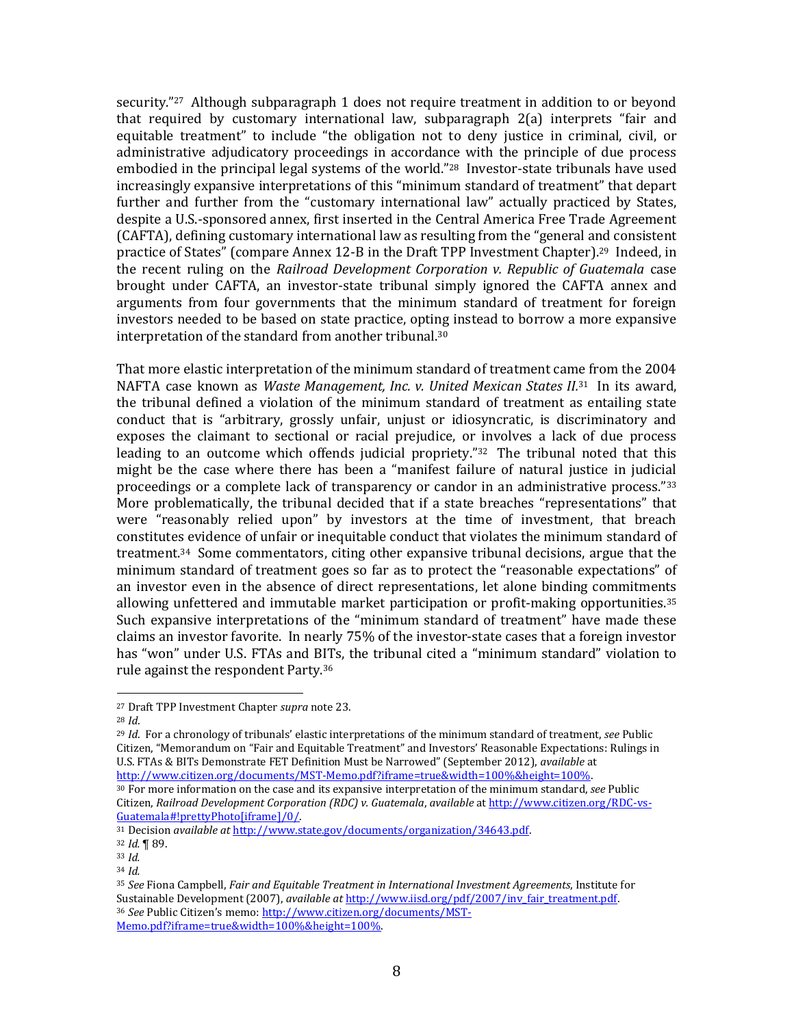security."<sup>27</sup> Although subparagraph 1 does not require treatment in addition to or beyond that required by customary international law, subparagraph 2(a) interprets "fair and equitable treatment" to include "the obligation not to deny justice in criminal, civil, or administrative adjudicatory proceedings in accordance with the principle of due process embodied in the principal legal systems of the world."28 Investor-state tribunals have used increasingly expansive interpretations of this "minimum standard of treatment" that depart further and further from the "customary international law" actually practiced by States, despite a U.S.-sponsored annex, first inserted in the Central America Free Trade Agreement (CAFTA), defining customary international law as resulting from the "general and consistent practice of States" (compare Annex 12-B in the Draft TPP Investment Chapter).29 Indeed, in the recent ruling on the *Railroad Development Corporation v. Republic of Guatemala* case brought under CAFTA, an investor-state tribunal simply ignored the CAFTA annex and arguments from four governments that the minimum standard of treatment for foreign investors needed to be based on state practice, opting instead to borrow a more expansive interpretation of the standard from another tribunal.<sup>30</sup>

That more elastic interpretation of the minimum standard of treatment came from the 2004 NAFTA case known as *Waste Management, Inc. v. United Mexican States II.*<sup>31</sup> In its award, the tribunal defined a violation of the minimum standard of treatment as entailing state conduct that is "arbitrary, grossly unfair, unjust or idiosyncratic, is discriminatory and exposes the claimant to sectional or racial prejudice, or involves a lack of due process leading to an outcome which offends judicial propriety." $32$  The tribunal noted that this might be the case where there has been a "manifest failure of natural justice in judicial proceedings or a complete lack of transparency or candor in an administrative process."<sup>33</sup> More problematically, the tribunal decided that if a state breaches "representations" that were "reasonably relied upon" by investors at the time of investment, that breach constitutes evidence of unfair or inequitable conduct that violates the minimum standard of treatment.34 Some commentators, citing other expansive tribunal decisions, argue that the minimum standard of treatment goes so far as to protect the "reasonable expectations" of an investor even in the absence of direct representations, let alone binding commitments allowing unfettered and immutable market participation or profit-making opportunities.<sup>35</sup> Such expansive interpretations of the "minimum standard of treatment" have made these claims an investor favorite. In nearly 75% of the investor-state cases that a foreign investor has "won" under U.S. FTAs and BITs, the tribunal cited a "minimum standard" violation to rule against the respondent Party.<sup>36</sup>

l

<sup>27</sup> Draft TPP Investment Chapter *supra* note 23.

<sup>28</sup> *Id*.

<sup>29</sup> *Id*. For a chronology of tribunals' elastic interpretations of the minimum standard of treatment, *see* Public Citizen, "Memorandum on "Fair and Equitable Treatment" and Investors' Reasonable Expectations: Rulings in U.S. FTAs & BITs Demonstrate FET Definition Must be Narrowed" (September 2012), *available* at [http://www.citizen.org/documents/MST-Memo.pdf?iframe=true&width=100%&height=100%.](http://www.citizen.org/documents/MST-Memo.pdf?iframe=true&width=100%25&height=100%25)

<sup>30</sup> For more information on the case and its expansive interpretation of the minimum standard, *see* Public Citizen, *Railroad Development Corporation (RDC) v. Guatemala*, *available* a[t http://www.citizen.org/RDC-vs-](http://www.citizen.org/RDC-vs-Guatemala#!prettyPhoto[iframe]/0/)[Guatemala#!prettyPhoto\[iframe\]/0/.](http://www.citizen.org/RDC-vs-Guatemala#!prettyPhoto[iframe]/0/)

<sup>31</sup> Decision *available at* [http://www.state.gov/documents/organization/34643.pdf.](http://www.state.gov/documents/organization/34643.pdf)

<sup>32</sup> *Id.* ¶ 89.

<sup>33</sup> *Id.*

<sup>34</sup> *Id.*

<sup>35</sup> *See* Fiona Campbell, *Fair and Equitable Treatment in International Investment Agreements*, Institute for Sustainable Development (2007), *available at* [http://www.iisd.org/pdf/2007/inv\\_fair\\_treatment.pdf.](http://www.iisd.org/pdf/2007/inv_fair_treatment.pdf)  <sup>36</sup> *See* Public Citizen's memo: [http://www.citizen.org/documents/MST-](http://www.citizen.org/documents/MST-Memo.pdf?iframe=true&width=100%25&height=100%25)[Memo.pdf?iframe=true&width=100%&height=100%.](http://www.citizen.org/documents/MST-Memo.pdf?iframe=true&width=100%25&height=100%25)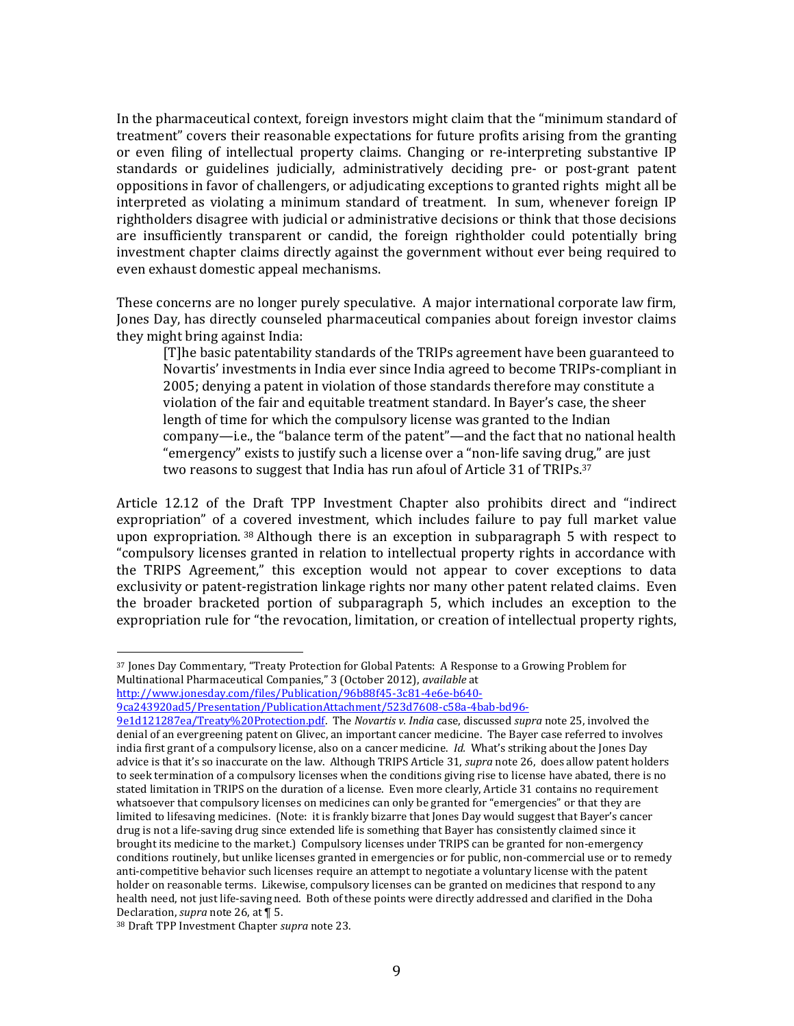In the pharmaceutical context, foreign investors might claim that the "minimum standard of treatment" covers their reasonable expectations for future profits arising from the granting or even filing of intellectual property claims. Changing or re-interpreting substantive IP standards or guidelines judicially, administratively deciding pre- or post-grant patent oppositions in favor of challengers, or adjudicating exceptions to granted rights might all be interpreted as violating a minimum standard of treatment. In sum, whenever foreign IP rightholders disagree with judicial or administrative decisions or think that those decisions are insufficiently transparent or candid, the foreign rightholder could potentially bring investment chapter claims directly against the government without ever being required to even exhaust domestic appeal mechanisms.

These concerns are no longer purely speculative. A major international corporate law firm, Jones Day, has directly counseled pharmaceutical companies about foreign investor claims they might bring against India:

[T]he basic patentability standards of the TRIPs agreement have been guaranteed to Novartis' investments in India ever since India agreed to become TRIPs-compliant in 2005; denying a patent in violation of those standards therefore may constitute a violation of the fair and equitable treatment standard. In Bayer's case, the sheer length of time for which the compulsory license was granted to the Indian company—i.e., the "balance term of the patent"—and the fact that no national health "emergency" exists to justify such a license over a "non-life saving drug," are just two reasons to suggest that India has run afoul of Article 31 of TRIPs.<sup>37</sup>

Article 12.12 of the Draft TPP Investment Chapter also prohibits direct and "indirect expropriation" of a covered investment, which includes failure to pay full market value upon expropriation. <sup>38</sup> Although there is an exception in subparagraph 5 with respect to "compulsory licenses granted in relation to intellectual property rights in accordance with the TRIPS Agreement," this exception would not appear to cover exceptions to data exclusivity or patent-registration linkage rights nor many other patent related claims. Even the broader bracketed portion of subparagraph 5, which includes an exception to the expropriation rule for "the revocation, limitation, or creation of intellectual property rights,

[http://www.jonesday.com/files/Publication/96b88f45-3c81-4e6e-b640-](http://www.jonesday.com/files/Publication/96b88f45-3c81-4e6e-b640-9ca243920ad5/Presentation/PublicationAttachment/523d7608-c58a-4bab-bd96-9e1d121287ea/Treaty%20Protection.pdf)

<sup>37</sup> Jones Day Commentary, "Treaty Protection for Global Patents: A Response to a Growing Problem for Multinational Pharmaceutical Companies," 3 (October 2012), *available* at

[<sup>9</sup>ca243920ad5/Presentation/PublicationAttachment/523d7608-c58a-4bab-bd96-](http://www.jonesday.com/files/Publication/96b88f45-3c81-4e6e-b640-9ca243920ad5/Presentation/PublicationAttachment/523d7608-c58a-4bab-bd96-9e1d121287ea/Treaty%20Protection.pdf)

[<sup>9</sup>e1d121287ea/Treaty%20Protection.pdf.](http://www.jonesday.com/files/Publication/96b88f45-3c81-4e6e-b640-9ca243920ad5/Presentation/PublicationAttachment/523d7608-c58a-4bab-bd96-9e1d121287ea/Treaty%20Protection.pdf) The *Novartis v. India* case, discussed *supra* note 25, involved the denial of an evergreening patent on Glivec, an important cancer medicine. The Bayer case referred to involves india first grant of a compulsory license, also on a cancer medicine. *Id.* What's striking about the Jones Day advice is that it's so inaccurate on the law. Although TRIPS Article 31, *supra* note 26, does allow patent holders to seek termination of a compulsory licenses when the conditions giving rise to license have abated, there is no stated limitation in TRIPS on the duration of a license. Even more clearly, Article 31 contains no requirement whatsoever that compulsory licenses on medicines can only be granted for "emergencies" or that they are limited to lifesaving medicines. (Note: it is frankly bizarre that Jones Day would suggest that Bayer's cancer drug is not a life-saving drug since extended life is something that Bayer has consistently claimed since it brought its medicine to the market.) Compulsory licenses under TRIPS can be granted for non-emergency conditions routinely, but unlike licenses granted in emergencies or for public, non-commercial use or to remedy anti-competitive behavior such licenses require an attempt to negotiate a voluntary license with the patent holder on reasonable terms. Likewise, compulsory licenses can be granted on medicines that respond to any health need, not just life-saving need. Both of these points were directly addressed and clarified in the Doha Declaration, *supra* note 26, at ¶ 5.

<sup>38</sup> Draft TPP Investment Chapter *supra* note 23.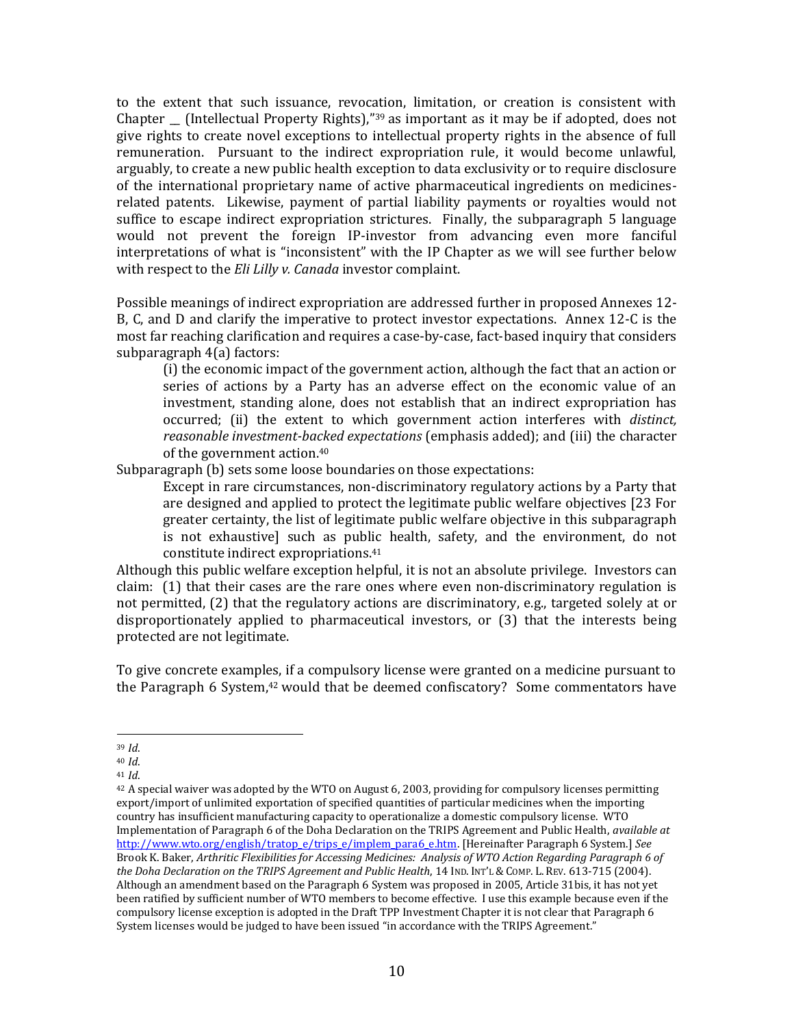to the extent that such issuance, revocation, limitation, or creation is consistent with Chapter  $\Box$  (Intellectual Property Rights),"<sup>39</sup> as important as it may be if adopted, does not give rights to create novel exceptions to intellectual property rights in the absence of full remuneration. Pursuant to the indirect expropriation rule, it would become unlawful, arguably, to create a new public health exception to data exclusivity or to require disclosure of the international proprietary name of active pharmaceutical ingredients on medicinesrelated patents. Likewise, payment of partial liability payments or royalties would not suffice to escape indirect expropriation strictures. Finally, the subparagraph 5 language would not prevent the foreign IP-investor from advancing even more fanciful interpretations of what is "inconsistent" with the IP Chapter as we will see further below with respect to the *Eli Lilly v. Canada* investor complaint.

Possible meanings of indirect expropriation are addressed further in proposed Annexes 12- B, C, and D and clarify the imperative to protect investor expectations. Annex 12-C is the most far reaching clarification and requires a case-by-case, fact-based inquiry that considers subparagraph 4(a) factors:

(i) the economic impact of the government action, although the fact that an action or series of actions by a Party has an adverse effect on the economic value of an investment, standing alone, does not establish that an indirect expropriation has occurred; (ii) the extent to which government action interferes with *distinct, reasonable investment-backed expectations* (emphasis added); and (iii) the character of the government action.<sup>40</sup>

Subparagraph (b) sets some loose boundaries on those expectations:

Except in rare circumstances, non-discriminatory regulatory actions by a Party that are designed and applied to protect the legitimate public welfare objectives [23 For greater certainty, the list of legitimate public welfare objective in this subparagraph is not exhaustive] such as public health, safety, and the environment, do not constitute indirect expropriations.<sup>41</sup>

Although this public welfare exception helpful, it is not an absolute privilege. Investors can claim: (1) that their cases are the rare ones where even non-discriminatory regulation is not permitted, (2) that the regulatory actions are discriminatory, e.g., targeted solely at or disproportionately applied to pharmaceutical investors, or (3) that the interests being protected are not legitimate.

To give concrete examples, if a compulsory license were granted on a medicine pursuant to the Paragraph 6 System, $42$  would that be deemed confiscatory? Some commentators have

<sup>39</sup> *Id*.

<sup>40</sup> *Id*.

<sup>41</sup> *Id*.

 $42$  A special waiver was adopted by the WTO on August 6, 2003, providing for compulsory licenses permitting export/import of unlimited exportation of specified quantities of particular medicines when the importing country has insufficient manufacturing capacity to operationalize a domestic compulsory license. WTO Implementation of Paragraph 6 of the Doha Declaration on the TRIPS Agreement and Public Health, *available at* [http://www.wto.org/english/tratop\\_e/trips\\_e/implem\\_para6\\_e.htm.](http://www.wto.org/english/tratop_e/trips_e/implem_para6_e.htm) [Hereinafter Paragraph 6 System.] *See* Brook K. Baker, *Arthritic Flexibilities for Accessing Medicines: Analysis of WTO Action Regarding Paragraph 6 of the Doha Declaration on the TRIPS Agreement and Public Health*, 14 IND. INT'L & COMP. L. REV. 613-715 (2004). Although an amendment based on the Paragraph 6 System was proposed in 2005, Article 31bis, it has not yet been ratified by sufficient number of WTO members to become effective. I use this example because even if the compulsory license exception is adopted in the Draft TPP Investment Chapter it is not clear that Paragraph 6 System licenses would be judged to have been issued "in accordance with the TRIPS Agreement."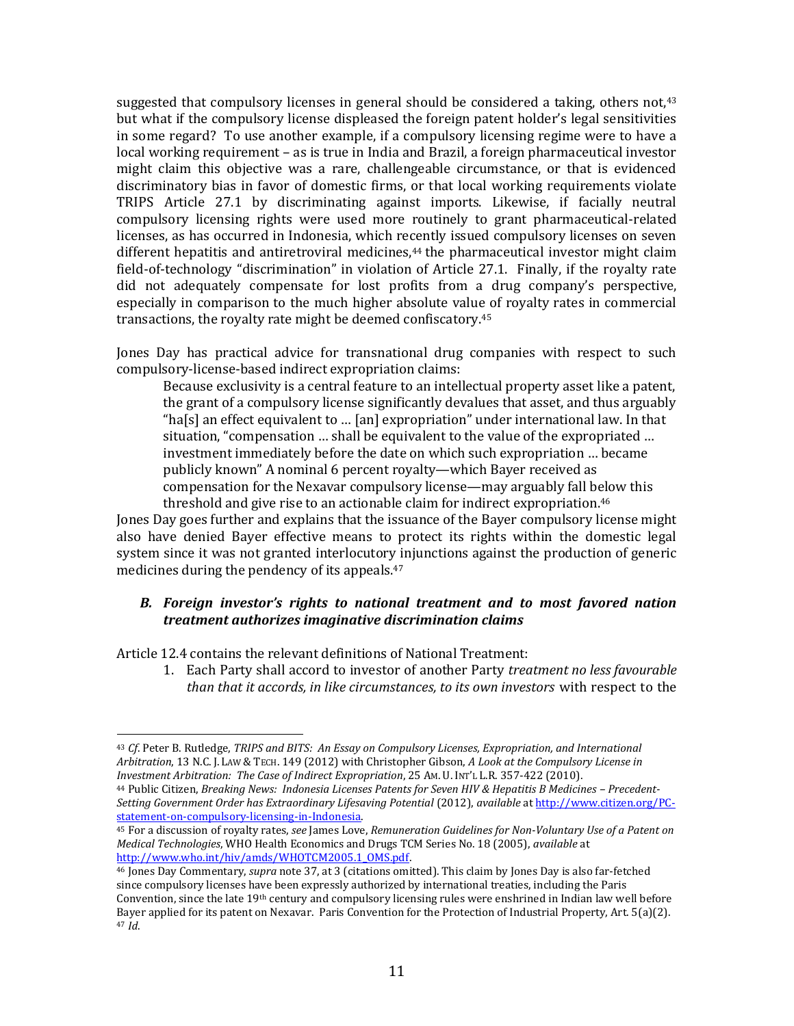suggested that compulsory licenses in general should be considered a taking, others not.<sup>43</sup> but what if the compulsory license displeased the foreign patent holder's legal sensitivities in some regard? To use another example, if a compulsory licensing regime were to have a local working requirement – as is true in India and Brazil, a foreign pharmaceutical investor might claim this objective was a rare, challengeable circumstance, or that is evidenced discriminatory bias in favor of domestic firms, or that local working requirements violate TRIPS Article 27.1 by discriminating against imports. Likewise, if facially neutral compulsory licensing rights were used more routinely to grant pharmaceutical-related licenses, as has occurred in Indonesia, which recently issued compulsory licenses on seven different hepatitis and antiretroviral medicines,<sup>44</sup> the pharmaceutical investor might claim field-of-technology "discrimination" in violation of Article 27.1. Finally, if the royalty rate did not adequately compensate for lost profits from a drug company's perspective, especially in comparison to the much higher absolute value of royalty rates in commercial transactions, the royalty rate might be deemed confiscatory.<sup>45</sup>

Jones Day has practical advice for transnational drug companies with respect to such compulsory-license-based indirect expropriation claims:

Because exclusivity is a central feature to an intellectual property asset like a patent, the grant of a compulsory license significantly devalues that asset, and thus arguably "ha[s] an effect equivalent to … [an] expropriation" under international law. In that situation, "compensation … shall be equivalent to the value of the expropriated … investment immediately before the date on which such expropriation … became publicly known" A nominal 6 percent royalty—which Bayer received as compensation for the Nexavar compulsory license—may arguably fall below this threshold and give rise to an actionable claim for indirect expropriation.<sup>46</sup>

Jones Day goes further and explains that the issuance of the Bayer compulsory license might also have denied Bayer effective means to protect its rights within the domestic legal system since it was not granted interlocutory injunctions against the production of generic medicines during the pendency of its appeals.<sup>47</sup>

### *B. Foreign investor's rights to national treatment and to most favored nation treatment authorizes imaginative discrimination claims*

Article 12.4 contains the relevant definitions of National Treatment:

1. Each Party shall accord to investor of another Party *treatment no less favourable than that it accords, in like circumstances, to its own investors* with respect to the

 $\overline{a}$ <sup>43</sup> *Cf*. Peter B. Rutledge, *TRIPS and BITS: An Essay on Compulsory Licenses, Expropriation, and International Arbitration*, 13 N.C. J. LAW & TECH. 149 (2012) with Christopher Gibson, *A Look at the Compulsory License in Investment Arbitration: The Case of Indirect Expropriation*, 25 AM. U. INT'L L.R. 357-422 (2010).

<sup>44</sup> Public Citizen, Breaking News: Indonesia Licenses Patents for Seven HIV & Hepatitis B Medicines - Precedent-*Setting Government Order has Extraordinary Lifesaving Potential* (2012), *available* a[t http://www.citizen.org/PC](http://www.citizen.org/PC-statement-on-compulsory-licensing-in-Indonesia)[statement-on-compulsory-licensing-in-Indonesia.](http://www.citizen.org/PC-statement-on-compulsory-licensing-in-Indonesia) 

<sup>45</sup> For a discussion of royalty rates, *see* James Love, *Remuneration Guidelines for Non-Voluntary Use of a Patent on Medical Technologies*, WHO Health Economics and Drugs TCM Series No. 18 (2005), *available* at [http://www.who.int/hiv/amds/WHOTCM2005.1\\_OMS.pdf.](http://www.who.int/hiv/amds/WHOTCM2005.1_OMS.pdf) 

<sup>46</sup> Jones Day Commentary, *supra* note 37, at 3 (citations omitted). This claim by Jones Day is also far-fetched since compulsory licenses have been expressly authorized by international treaties, including the Paris Convention, since the late 19th century and compulsory licensing rules were enshrined in Indian law well before Bayer applied for its patent on Nexavar. Paris Convention for the Protection of Industrial Property, Art. 5(a)(2). <sup>47</sup> *Id*.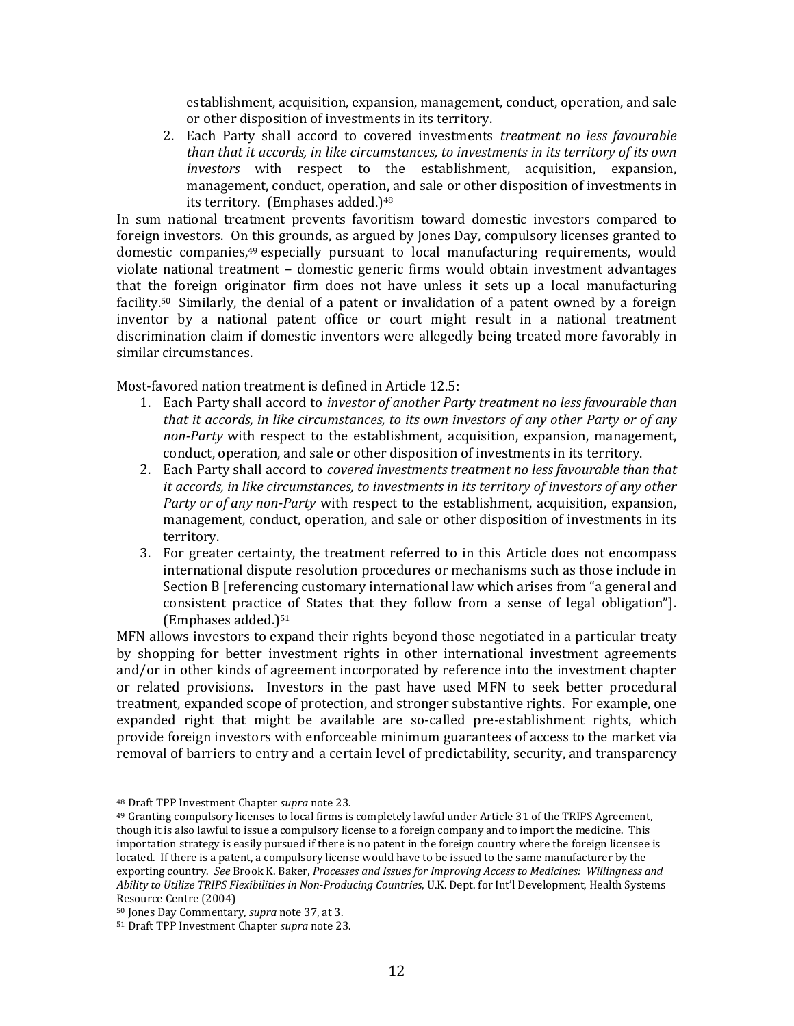establishment, acquisition, expansion, management, conduct, operation, and sale or other disposition of investments in its territory.

2. Each Party shall accord to covered investments *treatment no less favourable than that it accords, in like circumstances, to investments in its territory of its own investors* with respect to the establishment, acquisition, expansion, management, conduct, operation, and sale or other disposition of investments in its territory. (Emphases added.)<sup>48</sup>

In sum national treatment prevents favoritism toward domestic investors compared to foreign investors. On this grounds, as argued by Jones Day, compulsory licenses granted to domestic companies,<sup>49</sup> especially pursuant to local manufacturing requirements, would violate national treatment – domestic generic firms would obtain investment advantages that the foreign originator firm does not have unless it sets up a local manufacturing facility.<sup>50</sup> Similarly, the denial of a patent or invalidation of a patent owned by a foreign inventor by a national patent office or court might result in a national treatment discrimination claim if domestic inventors were allegedly being treated more favorably in similar circumstances.

Most-favored nation treatment is defined in Article 12.5:

- 1. Each Party shall accord to *investor of another Party treatment no less favourable than that it accords, in like circumstances, to its own investors of any other Party or of any non-Party* with respect to the establishment, acquisition, expansion, management, conduct, operation, and sale or other disposition of investments in its territory.
- 2. Each Party shall accord to *covered investments treatment no less favourable than that it accords, in like circumstances, to investments in its territory of investors of any other Party or of any non-Party* with respect to the establishment, acquisition, expansion, management, conduct, operation, and sale or other disposition of investments in its territory.
- 3. For greater certainty, the treatment referred to in this Article does not encompass international dispute resolution procedures or mechanisms such as those include in Section B [referencing customary international law which arises from "a general and consistent practice of States that they follow from a sense of legal obligation"]. (Emphases added.) $51$

MFN allows investors to expand their rights beyond those negotiated in a particular treaty by shopping for better investment rights in other international investment agreements and/or in other kinds of agreement incorporated by reference into the investment chapter or related provisions. Investors in the past have used MFN to seek better procedural treatment, expanded scope of protection, and stronger substantive rights. For example, one expanded right that might be available are so-called pre-establishment rights, which provide foreign investors with enforceable minimum guarantees of access to the market via removal of barriers to entry and a certain level of predictability, security, and transparency

<sup>48</sup> Draft TPP Investment Chapter *supra* note 23.

<sup>49</sup> Granting compulsory licenses to local firms is completely lawful under Article 31 of the TRIPS Agreement, though it is also lawful to issue a compulsory license to a foreign company and to import the medicine. This importation strategy is easily pursued if there is no patent in the foreign country where the foreign licensee is located. If there is a patent, a compulsory license would have to be issued to the same manufacturer by the exporting country. *See* Brook K. Baker, *Processes and Issues for Improving Access to Medicines: Willingness and Ability to Utilize TRIPS Flexibilities in Non-Producing Countries*, U.K. Dept. for Int'l Development, Health Systems Resource Centre (2004)

<sup>50</sup> Jones Day Commentary, *supra* note 37, at 3.

<sup>51</sup> Draft TPP Investment Chapter *supra* note 23.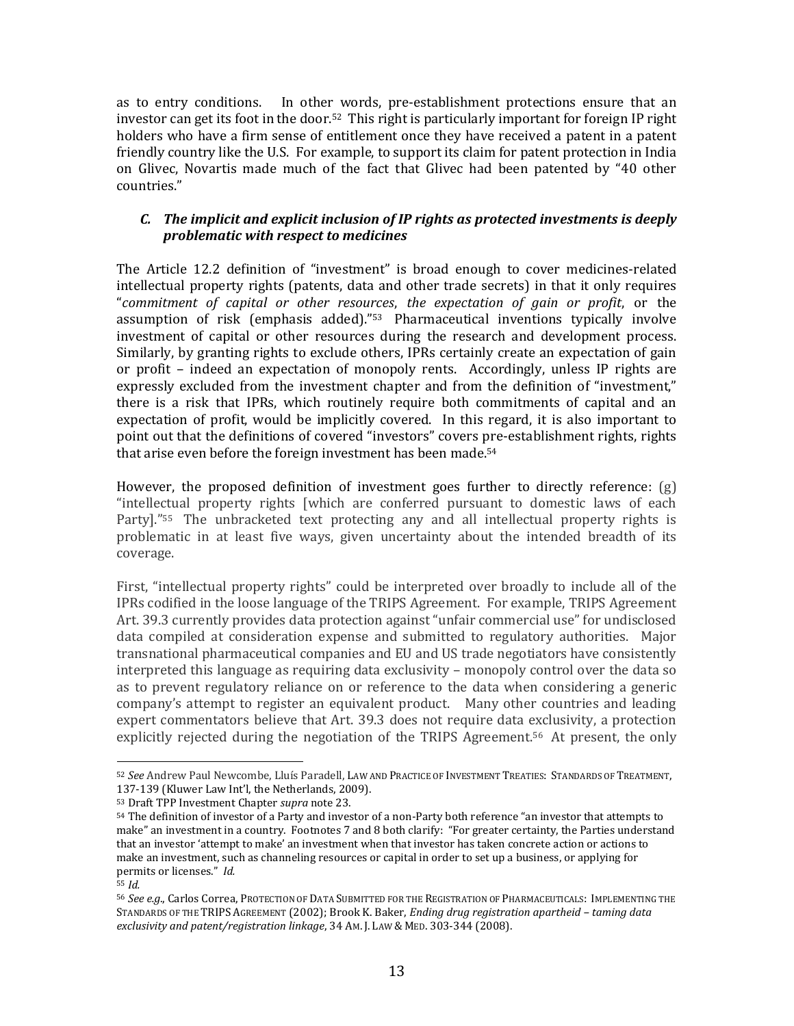as to entry conditions. In other words, pre-establishment protections ensure that an investor can get its foot in the door.52 This right is particularly important for foreign IP right holders who have a firm sense of entitlement once they have received a patent in a patent friendly country like the U.S. For example, to support its claim for patent protection in India on Glivec, Novartis made much of the fact that Glivec had been patented by "40 other countries."

### *C. The implicit and explicit inclusion of IP rights as protected investments is deeply problematic with respect to medicines*

The Article 12.2 definition of "investment" is broad enough to cover medicines-related intellectual property rights (patents, data and other trade secrets) in that it only requires "*commitment of capital or other resources*, *the expectation of gain or profit*, or the assumption of risk (emphasis added)." <sup>53</sup> Pharmaceutical inventions typically involve investment of capital or other resources during the research and development process. Similarly, by granting rights to exclude others, IPRs certainly create an expectation of gain or profit – indeed an expectation of monopoly rents. Accordingly, unless IP rights are expressly excluded from the investment chapter and from the definition of "investment," there is a risk that IPRs, which routinely require both commitments of capital and an expectation of profit, would be implicitly covered. In this regard, it is also important to point out that the definitions of covered "investors" covers pre-establishment rights, rights that arise even before the foreign investment has been made.<sup>54</sup>

However, the proposed definition of investment goes further to directly reference: (g) "intellectual property rights [which are conferred pursuant to domestic laws of each Party]."<sup>55</sup> The unbracketed text protecting any and all intellectual property rights is problematic in at least five ways, given uncertainty about the intended breadth of its coverage.

First, "intellectual property rights" could be interpreted over broadly to include all of the IPRs codified in the loose language of the TRIPS Agreement. For example, TRIPS Agreement Art. 39.3 currently provides data protection against "unfair commercial use" for undisclosed data compiled at consideration expense and submitted to regulatory authorities. Major transnational pharmaceutical companies and EU and US trade negotiators have consistently interpreted this language as requiring data exclusivity – monopoly control over the data so as to prevent regulatory reliance on or reference to the data when considering a generic company's attempt to register an equivalent product. Many other countries and leading expert commentators believe that Art. 39.3 does not require data exclusivity, a protection explicitly rejected during the negotiation of the TRIPS Agreement.<sup>56</sup> At present, the only

 $\overline{a}$ <sup>52</sup> *See* Andrew Paul Newcombe, Lluís Paradell, LAW AND PRACTICE OF INVESTMENT TREATIES: STANDARDS OF TREATMENT, 137-139 (Kluwer Law Int'l, the Netherlands, 2009).

<sup>53</sup> Draft TPP Investment Chapter *supra* note 23.

<sup>54</sup> The definition of investor of a Party and investor of a non-Party both reference "an investor that attempts to make" an investment in a country. Footnotes 7 and 8 both clarify: "For greater certainty, the Parties understand that an investor 'attempt to make' an investment when that investor has taken concrete action or actions to make an investment, such as channeling resources or capital in order to set up a business, or applying for permits or licenses." *Id.*

<sup>55</sup> *Id.*

<sup>56</sup> *See e.g*., Carlos Correa, PROTECTION OF DATA SUBMITTED FOR THE REGISTRATION OF PHARMACEUTICALS: IMPLEMENTING THE STANDARDS OF THE TRIPS AGREEMENT (2002); Brook K. Baker, *Ending drug registration apartheid – taming data exclusivity and patent/registration linkage*, 34 AM. J. LAW & MED. 303-344 (2008).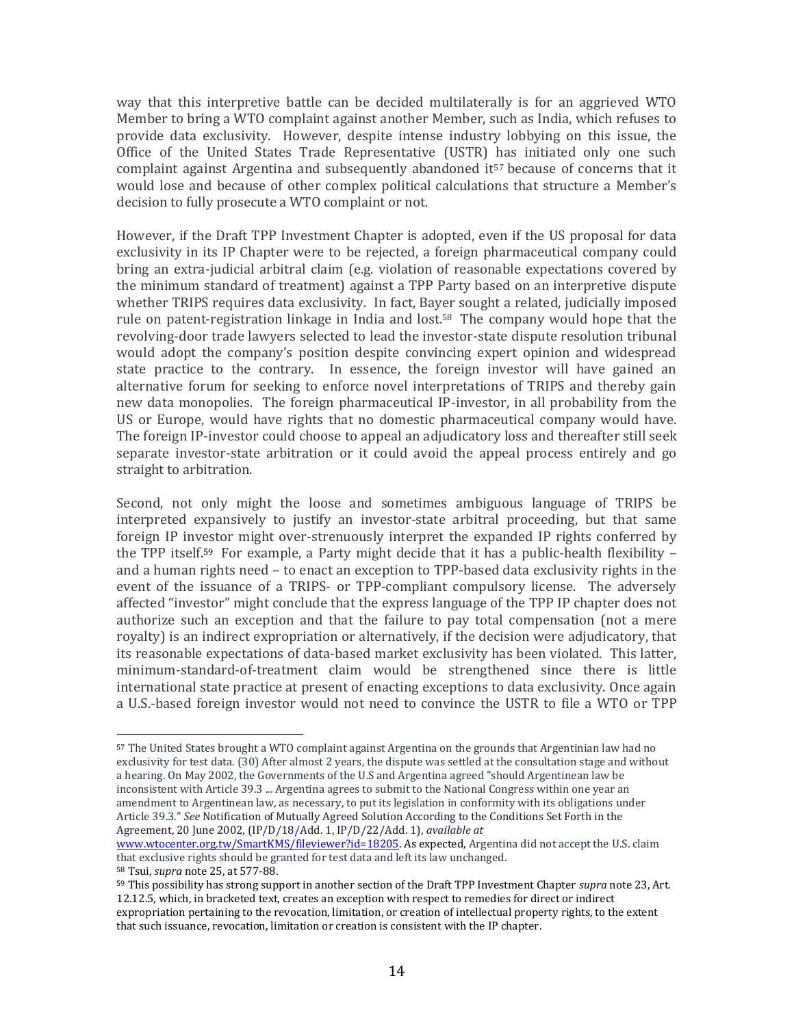way that this interpretive battle can be decided multilaterally is for an aggrieved WTO Member to bring a WTO complaint against another Member, such as India, which refuses to provide data exclusivity. However, despite intense industry lobbying on this issue, the Office of the United States Trade Representative (USTR) has initiated only one such complaint against Argentina and subsequently abandoned it<sup>57</sup> because of concerns that it would lose and because of other complex political calculations that structure a Member's decision to fully prosecute a WTO complaint or not.

However, if the Draft TPP Investment Chapter is adopted, even if the US proposal for data exclusivity in its IP Chapter were to be rejected, a foreign pharmaceutical company could bring an extra-judicial arbitral claim (e.g. violation of reasonable expectations covered by the minimum standard of treatment) against a TPP Party based on an interpretive dispute whether TRIPS requires data exclusivity. In fact, Bayer sought a related, judicially imposed rule on patent-registration linkage in India and lost.58 The company would hope that the revolving-door trade lawyers selected to lead the investor-state dispute resolution tribunal would adopt the company's position despite convincing expert opinion and widespread state practice to the contrary. In essence, the foreign investor will have gained an alternative forum for seeking to enforce novel interpretations of TRIPS and thereby gain new data monopolies. The foreign pharmaceutical IP-investor, in all probability from the US or Europe, would have rights that no domestic pharmaceutical company would have. The foreign IP-investor could choose to appeal an adjudicatory loss and thereafter still seek separate investor-state arbitration or it could avoid the appeal process entirely and go straight to arbitration.

Second, not only might the loose and sometimes ambiguous language of TRIPS be interpreted expansively to justify an investor-state arbitral proceeding, but that same foreign IP investor might over-strenuously interpret the expanded IP rights conferred by the TPP itself.<sup>59</sup> For example, a Party might decide that it has a public-health flexibility  $$ and a human rights need – to enact an exception to TPP-based data exclusivity rights in the event of the issuance of a TRIPS- or TPP-compliant compulsory license. The adversely affected "investor" might conclude that the express language of the TPP IP chapter does not authorize such an exception and that the failure to pay total compensation (not a mere royalty) is an indirect expropriation or alternatively, if the decision were adjudicatory, that its reasonable expectations of data-based market exclusivity has been violated. This latter, minimum-standard-of-treatment claim would be strengthened since there is little international state practice at present of enacting exceptions to data exclusivity. Once again a U.S.-based foreign investor would not need to convince the USTR to file a WTO or TPP

 $\overline{a}$ <sup>57</sup> The United States brought a WTO complaint against Argentina on the grounds that Argentinian law had no exclusivity for test data. (30) After almost 2 years, the dispute was settled at the consultation stage and without a hearing. On May 2002, the Governments of the U.S and Argentina agreed "should Argentinean law be inconsistent with Article 39.3 ... Argentina agrees to submit to the National Congress within one year an amendment to Argentinean law, as necessary, to put its legislation in conformity with its obligations under Article 39.3." *See* Notification of Mutually Agreed Solution According to the Conditions Set Forth in the Agreement, 20 June 2002, (IP/D/18/Add. 1, IP/D/22/Add. 1), *available at*

[www.wtocenter.org.tw/SmartKMS/fileviewer?id=18205.](http://www.wtocenter.org.tw/SmartKMS/fileviewer?id=18205) As expected, Argentina did not accept the U.S. claim that exclusive rights should be granted for test data and left its law unchanged.

<sup>58</sup> Tsui, *supra* note 25, at 577-88.

<sup>59</sup> This possibility has strong support in another section of the Draft TPP Investment Chapter *supra* note 23, Art. 12.12.5, which, in bracketed text, creates an exception with respect to remedies for direct or indirect expropriation pertaining to the revocation, limitation, or creation of intellectual property rights, to the extent that such issuance, revocation, limitation or creation is consistent with the IP chapter.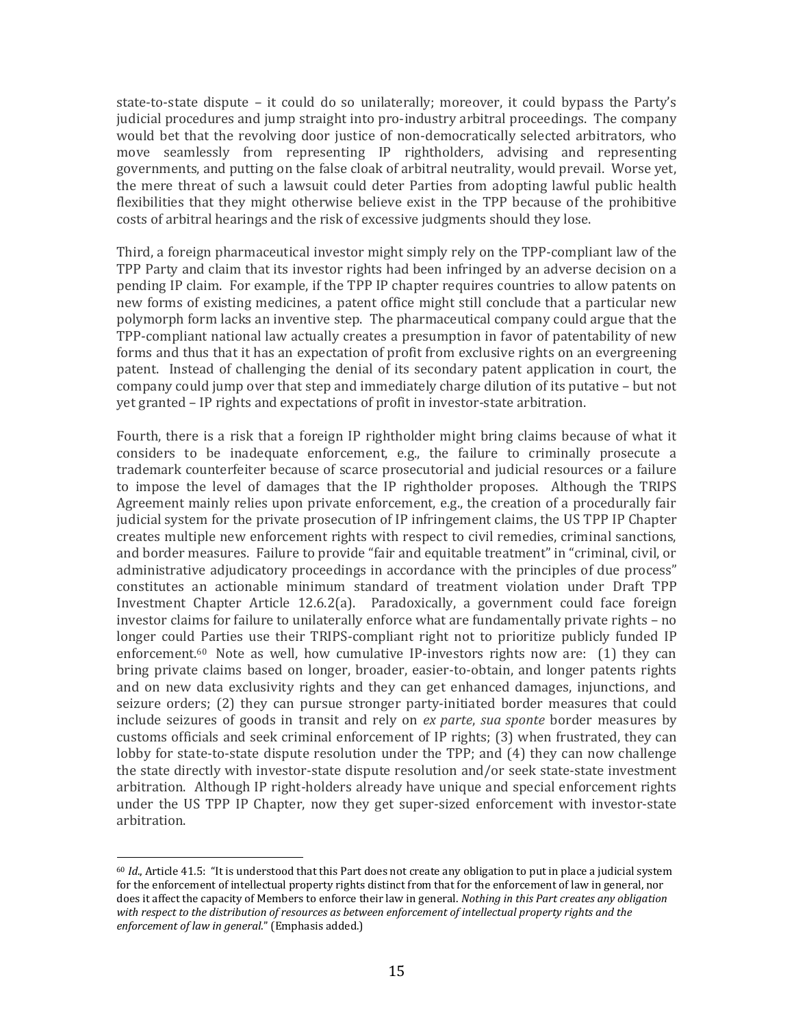state-to-state dispute – it could do so unilaterally; moreover, it could bypass the Party's judicial procedures and jump straight into pro-industry arbitral proceedings. The company would bet that the revolving door justice of non-democratically selected arbitrators, who move seamlessly from representing IP rightholders, advising and representing governments, and putting on the false cloak of arbitral neutrality, would prevail. Worse yet, the mere threat of such a lawsuit could deter Parties from adopting lawful public health flexibilities that they might otherwise believe exist in the TPP because of the prohibitive costs of arbitral hearings and the risk of excessive judgments should they lose.

Third, a foreign pharmaceutical investor might simply rely on the TPP-compliant law of the TPP Party and claim that its investor rights had been infringed by an adverse decision on a pending IP claim. For example, if the TPP IP chapter requires countries to allow patents on new forms of existing medicines, a patent office might still conclude that a particular new polymorph form lacks an inventive step. The pharmaceutical company could argue that the TPP-compliant national law actually creates a presumption in favor of patentability of new forms and thus that it has an expectation of profit from exclusive rights on an evergreening patent. Instead of challenging the denial of its secondary patent application in court, the company could jump over that step and immediately charge dilution of its putative – but not yet granted – IP rights and expectations of profit in investor-state arbitration.

Fourth, there is a risk that a foreign IP rightholder might bring claims because of what it considers to be inadequate enforcement, e.g., the failure to criminally prosecute a trademark counterfeiter because of scarce prosecutorial and judicial resources or a failure to impose the level of damages that the IP rightholder proposes. Although the TRIPS Agreement mainly relies upon private enforcement, e.g., the creation of a procedurally fair judicial system for the private prosecution of IP infringement claims, the US TPP IP Chapter creates multiple new enforcement rights with respect to civil remedies, criminal sanctions, and border measures. Failure to provide "fair and equitable treatment" in "criminal, civil, or administrative adjudicatory proceedings in accordance with the principles of due process" constitutes an actionable minimum standard of treatment violation under Draft TPP Investment Chapter Article 12.6.2(a). Paradoxically, a government could face foreign investor claims for failure to unilaterally enforce what are fundamentally private rights – no longer could Parties use their TRIPS-compliant right not to prioritize publicly funded IP enforcement.60 Note as well, how cumulative IP-investors rights now are: (1) they can bring private claims based on longer, broader, easier-to-obtain, and longer patents rights and on new data exclusivity rights and they can get enhanced damages, injunctions, and seizure orders; (2) they can pursue stronger party-initiated border measures that could include seizures of goods in transit and rely on *ex parte*, *sua sponte* border measures by customs officials and seek criminal enforcement of IP rights; (3) when frustrated, they can lobby for state-to-state dispute resolution under the TPP; and (4) they can now challenge the state directly with investor-state dispute resolution and/or seek state-state investment arbitration. Although IP right-holders already have unique and special enforcement rights under the US TPP IP Chapter, now they get super-sized enforcement with investor-state arbitration.

<sup>60</sup> *Id*., Article 41.5: "It is understood that this Part does not create any obligation to put in place a judicial system for the enforcement of intellectual property rights distinct from that for the enforcement of law in general, nor does it affect the capacity of Members to enforce their law in general. *Nothing in this Part creates any obligation with respect to the distribution of resources as between enforcement of intellectual property rights and the enforcement of law in general*." (Emphasis added.)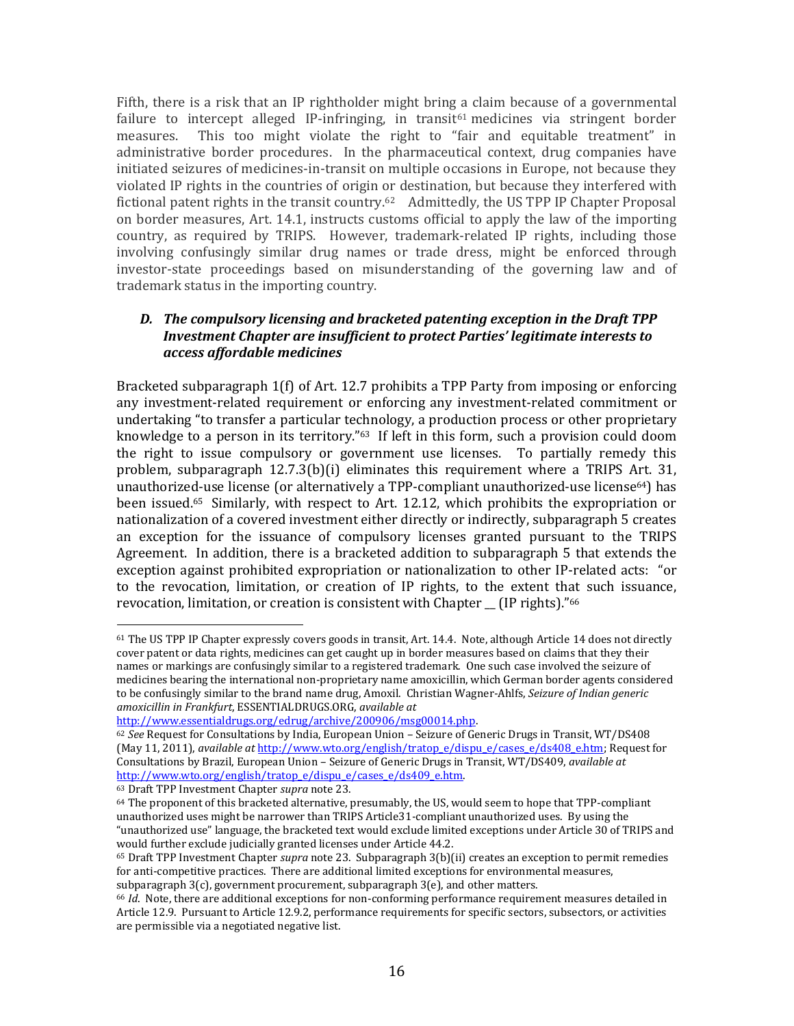Fifth, there is a risk that an IP rightholder might bring a claim because of a governmental failure to intercept alleged IP-infringing, in transit<sup>61</sup> medicines via stringent border measures. This too might violate the right to "fair and equitable treatment" in administrative border procedures. In the pharmaceutical context, drug companies have initiated seizures of medicines-in-transit on multiple occasions in Europe, not because they violated IP rights in the countries of origin or destination, but because they interfered with fictional patent rights in the transit country.62 Admittedly, the US TPP IP Chapter Proposal on border measures, Art. 14.1, instructs customs official to apply the law of the importing country, as required by TRIPS. However, trademark-related IP rights, including those involving confusingly similar drug names or trade dress, might be enforced through investor-state proceedings based on misunderstanding of the governing law and of trademark status in the importing country.

### *D. The compulsory licensing and bracketed patenting exception in the Draft TPP Investment Chapter are insufficient to protect Parties' legitimate interests to access affordable medicines*

Bracketed subparagraph 1(f) of Art. 12.7 prohibits a TPP Party from imposing or enforcing any investment-related requirement or enforcing any investment-related commitment or undertaking "to transfer a particular technology, a production process or other proprietary knowledge to a person in its territory."<sup>63</sup> If left in this form, such a provision could doom the right to issue compulsory or government use licenses. To partially remedy this problem, subparagraph 12.7.3(b)(i) eliminates this requirement where a TRIPS Art. 31, unauthorized-use license (or alternatively a TPP-compliant unauthorized-use license<sup>64</sup>) has been issued.65 Similarly, with respect to Art. 12.12, which prohibits the expropriation or nationalization of a covered investment either directly or indirectly, subparagraph 5 creates an exception for the issuance of compulsory licenses granted pursuant to the TRIPS Agreement. In addition, there is a bracketed addition to subparagraph 5 that extends the exception against prohibited expropriation or nationalization to other IP-related acts: "or to the revocation, limitation, or creation of IP rights, to the extent that such issuance, revocation, limitation, or creation is consistent with Chapter \_ (IP rights)."<sup>66</sup>

<sup>61</sup> The US TPP IP Chapter expressly covers goods in transit, Art. 14.4. Note, although Article 14 does not directly cover patent or data rights, medicines can get caught up in border measures based on claims that they their names or markings are confusingly similar to a registered trademark. One such case involved the seizure of medicines bearing the international non-proprietary name amoxicillin, which German border agents considered to be confusingly similar to the brand name drug, Amoxil. Christian Wagner‐Ahlfs, *Seizure of Indian generic amoxicillin in Frankfurt*, ESSENTIALDRUGS.ORG, *available at* 

[http://www.essentialdrugs.org/edrug/archive/200906/msg00014.php.](http://www.essentialdrugs.org/edrug/archive/200906/msg00014.php) 

<sup>62</sup> *See* Request for Consultations by India, European Union – Seizure of Generic Drugs in Transit, WT/DS408 (May 11, 2011), *available at* [http://www.wto.org/english/tratop\\_e/dispu\\_e/cases\\_e/ds408\\_e.htm;](http://www.wto.org/english/tratop_e/dispu_e/cases_e/ds408_e.htm) Request for Consultations by Brazil, European Union – Seizure of Generic Drugs in Transit, WT/DS409, *available at* http://www.wto.org/english/tratop\_e/dispu\_e/cases\_e/ds409\_e.htm.

<sup>63</sup> Draft TPP Investment Chapter *supra* note 23.

<sup>64</sup> The proponent of this bracketed alternative, presumably, the US, would seem to hope that TPP-compliant unauthorized uses might be narrower than TRIPS Article31-compliant unauthorized uses. By using the "unauthorized use" language, the bracketed text would exclude limited exceptions under Article 30 of TRIPS and would further exclude judicially granted licenses under Article 44.2.

<sup>65</sup> Draft TPP Investment Chapter *supra* note 23. Subparagraph 3(b)(ii) creates an exception to permit remedies for anti-competitive practices. There are additional limited exceptions for environmental measures, subparagraph 3(c), government procurement, subparagraph 3(e), and other matters.

<sup>66</sup> *Id*. Note, there are additional exceptions for non-conforming performance requirement measures detailed in Article 12.9. Pursuant to Article 12.9.2, performance requirements for specific sectors, subsectors, or activities are permissible via a negotiated negative list.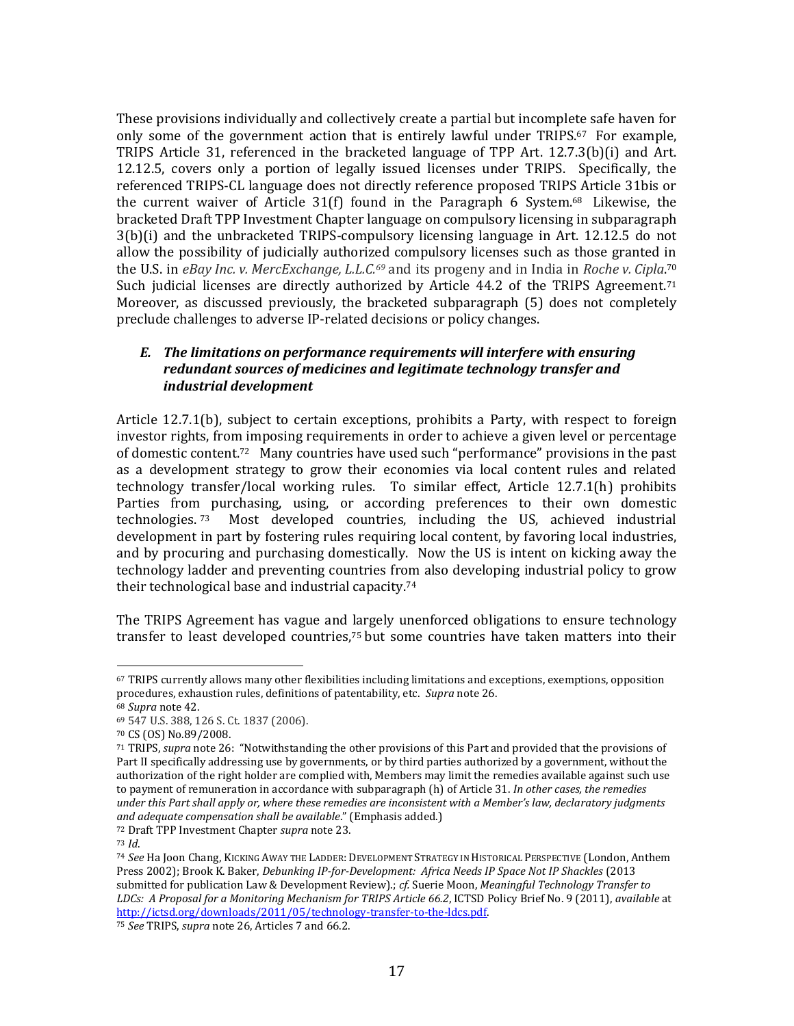These provisions individually and collectively create a partial but incomplete safe haven for only some of the government action that is entirely lawful under TRIPS.67 For example, TRIPS Article 31, referenced in the bracketed language of TPP Art. 12.7.3(b)(i) and Art. 12.12.5, covers only a portion of legally issued licenses under TRIPS. Specifically, the referenced TRIPS-CL language does not directly reference proposed TRIPS Article 31bis or the current waiver of Article 31(f) found in the Paragraph 6 System. <sup>68</sup> Likewise, the bracketed Draft TPP Investment Chapter language on compulsory licensing in subparagraph 3(b)(i) and the unbracketed TRIPS-compulsory licensing language in Art. 12.12.5 do not allow the possibility of judicially authorized compulsory licenses such as those granted in the U.S. in *eBay Inc. v. MercExchange, L.L.C.<sup>69</sup>* and its progeny and in India in *Roche v. Cipla*. 70 Such judicial licenses are directly authorized by Article 44.2 of the TRIPS Agreement.<sup>71</sup> Moreover, as discussed previously, the bracketed subparagraph (5) does not completely preclude challenges to adverse IP-related decisions or policy changes.

### *E. The limitations on performance requirements will interfere with ensuring redundant sources of medicines and legitimate technology transfer and industrial development*

Article 12.7.1(b), subject to certain exceptions, prohibits a Party, with respect to foreign investor rights, from imposing requirements in order to achieve a given level or percentage of domestic content.<sup>72</sup> Many countries have used such "performance" provisions in the past as a development strategy to grow their economies via local content rules and related technology transfer/local working rules. To similar effect, Article 12.7.1(h) prohibits Parties from purchasing, using, or according preferences to their own domestic technologies. <sup>73</sup> Most developed countries, including the US, achieved industrial development in part by fostering rules requiring local content, by favoring local industries, and by procuring and purchasing domestically. Now the US is intent on kicking away the technology ladder and preventing countries from also developing industrial policy to grow their technological base and industrial capacity.<sup>74</sup>

The TRIPS Agreement has vague and largely unenforced obligations to ensure technology transfer to least developed countries,<sup>75</sup> but some countries have taken matters into their

 $\overline{a}$ <sup>67</sup> TRIPS currently allows many other flexibilities including limitations and exceptions, exemptions, opposition procedures, exhaustion rules, definitions of patentability, etc. *Supra* note 26.

<sup>68</sup> *Supra* note 42.

<sup>69</sup> 547 U.S. 388, 126 S. Ct. 1837 (2006).

<sup>70</sup> CS (OS) No.89/2008.

<sup>71</sup> TRIPS, *supra* note 26: "Notwithstanding the other provisions of this Part and provided that the provisions of Part II specifically addressing use by governments, or by third parties authorized by a government, without the authorization of the right holder are complied with, Members may limit the remedies available against such use to payment of remuneration in accordance with subparagraph (h) of Article 31. *In other cases, the remedies under this Part shall apply or, where these remedies are inconsistent with a Member's law, declaratory judgments and adequate compensation shall be available*." (Emphasis added.)

<sup>72</sup> Draft TPP Investment Chapter *supra* note 23.

<sup>73</sup> *Id*.

<sup>74</sup> *See* Ha Joon Chang, KICKING AWAY THE LADDER: DEVELOPMENT STRATEGY IN HISTORICAL PERSPECTIVE (London, Anthem Press 2002); Brook K. Baker, *Debunking IP-for-Development: Africa Needs IP Space Not IP Shackles* (2013 submitted for publication Law & Development Review).; *cf.* Suerie Moon, *Meaningful Technology Transfer to LDCs: A Proposal for a Monitoring Mechanism for TRIPS Article 66.2*, ICTSD Policy Brief No. 9 (2011), *available* at [http://ictsd.org/downloads/2011/05/technology-transfer-to-the-ldcs.pdf.](http://ictsd.org/downloads/2011/05/technology-transfer-to-the-ldcs.pdf) 

<sup>75</sup> *See* TRIPS, *supra* note 26, Articles 7 and 66.2.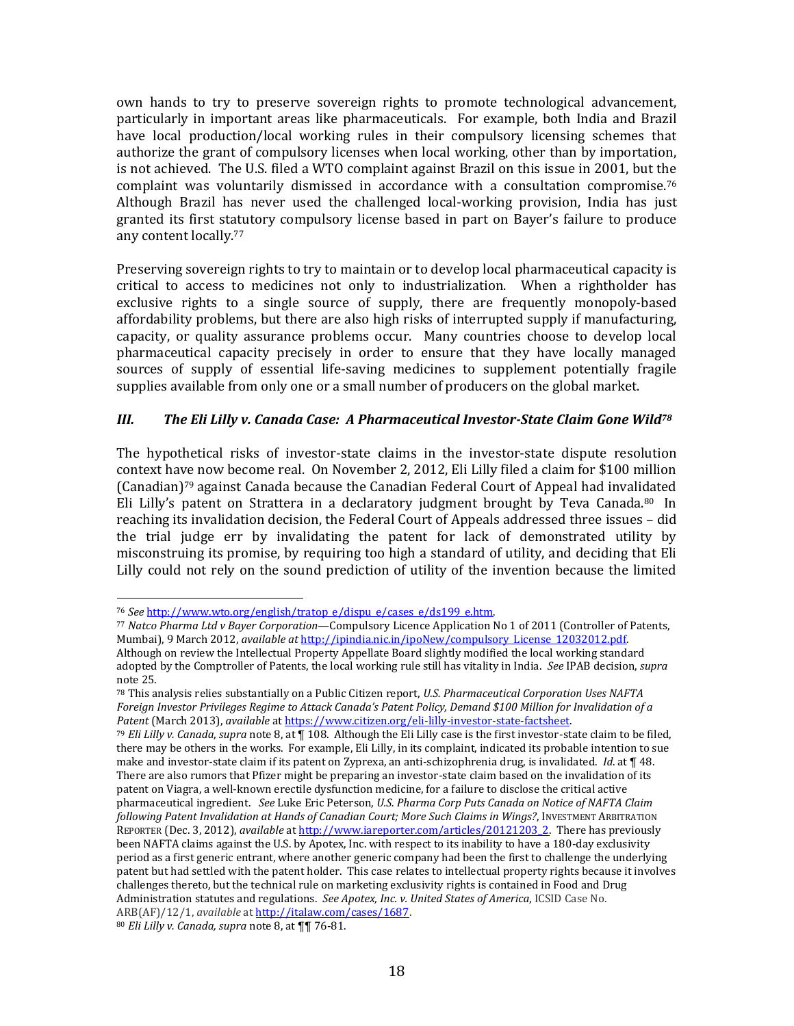own hands to try to preserve sovereign rights to promote technological advancement, particularly in important areas like pharmaceuticals. For example, both India and Brazil have local production/local working rules in their compulsory licensing schemes that authorize the grant of compulsory licenses when local working, other than by importation, is not achieved. The U.S. filed a WTO complaint against Brazil on this issue in 2001, but the complaint was voluntarily dismissed in accordance with a consultation compromise.<sup>76</sup> Although Brazil has never used the challenged local-working provision, India has just granted its first statutory compulsory license based in part on Bayer's failure to produce any content locally.<sup>77</sup>

Preserving sovereign rights to try to maintain or to develop local pharmaceutical capacity is critical to access to medicines not only to industrialization. When a rightholder has exclusive rights to a single source of supply, there are frequently monopoly-based affordability problems, but there are also high risks of interrupted supply if manufacturing, capacity, or quality assurance problems occur. Many countries choose to develop local pharmaceutical capacity precisely in order to ensure that they have locally managed sources of supply of essential life-saving medicines to supplement potentially fragile supplies available from only one or a small number of producers on the global market.

### *III. The Eli Lilly v. Canada Case: A Pharmaceutical Investor-State Claim Gone Wild<sup>78</sup>*

The hypothetical risks of investor-state claims in the investor-state dispute resolution context have now become real. On November 2, 2012, Eli Lilly filed a claim for \$100 million (Canadian)<sup>79</sup> against Canada because the Canadian Federal Court of Appeal had invalidated Eli Lilly's patent on Strattera in a declaratory judgment brought by Teva Canada.80 In reaching its invalidation decision, the Federal Court of Appeals addressed three issues – did the trial judge err by invalidating the patent for lack of demonstrated utility by misconstruing its promise, by requiring too high a standard of utility, and deciding that Eli Lilly could not rely on the sound prediction of utility of the invention because the limited

<sup>76</sup> *See* [http://www.wto.org/english/tratop\\_e/dispu\\_e/cases\\_e/ds199\\_e.htm.](http://www.wto.org/english/tratop_e/dispu_e/cases_e/ds199_e.htm) 

<sup>77</sup> *Natco Pharma Ltd v Bayer Corporation*—Compulsory Licence Application No 1 of 2011 (Controller of Patents, Mumbai), 9 March 2012, *available at* [http://ipindia.nic.in/ipoNew/compulsory\\_License\\_12032012.pdf.](http://ipindia.nic.in/ipoNew/compulsory_License_12032012.pdf)  Although on review the Intellectual Property Appellate Board slightly modified the local working standard adopted by the Comptroller of Patents, the local working rule still has vitality in India. *See* IPAB decision, *supra* note 25.

<sup>78</sup> This analysis relies substantially on a Public Citizen report, *U.S. Pharmaceutical Corporation Uses NAFTA Foreign Investor Privileges Regime to Attack Canada's Patent Policy, Demand \$100 Million for Invalidation of a Patent* (March 2013), *available* a[t https://www.citizen.org/eli-lilly-investor-state-factsheet.](https://www.citizen.org/eli-lilly-investor-state-factsheet) 

<sup>79</sup> *Eli Lilly v. Canada*, *supra* note 8, at ¶ 108. Although the Eli Lilly case is the first investor-state claim to be filed, there may be others in the works. For example, Eli Lilly, in its complaint, indicated its probable intention to sue make and investor-state claim if its patent on Zyprexa, an anti-schizophrenia drug, is invalidated. *Id*. at ¶ 48. There are also rumors that Pfizer might be preparing an investor-state claim based on the invalidation of its patent on Viagra, a well-known erectile dysfunction medicine, for a failure to disclose the critical active pharmaceutical ingredient. *See* Luke Eric Peterson, *U.S. Pharma Corp Puts Canada on Notice of NAFTA Claim following Patent Invalidation at Hands of Canadian Court; More Such Claims in Wings?*, INVESTMENT ARBITRATION REPORTER (Dec. 3, 2012), *available* a[t http://www.iareporter.com/articles/20121203\\_2.](http://www.iareporter.com/articles/20121203_2) There has previously been NAFTA claims against the U.S. by Apotex, Inc. with respect to its inability to have a 180-day exclusivity period as a first generic entrant, where another generic company had been the first to challenge the underlying patent but had settled with the patent holder. This case relates to intellectual property rights because it involves challenges thereto, but the technical rule on marketing exclusivity rights is contained in Food and Drug Administration statutes and regulations. *See Apotex, Inc. v. United States of America*, ICSID Case No. ARB(AF)/12/1, *available* a[t http://italaw.com/cases/1687.](http://italaw.com/cases/1687) 

<sup>80</sup> *Eli Lilly v. Canada, supra* note 8, at ¶¶ 76-81.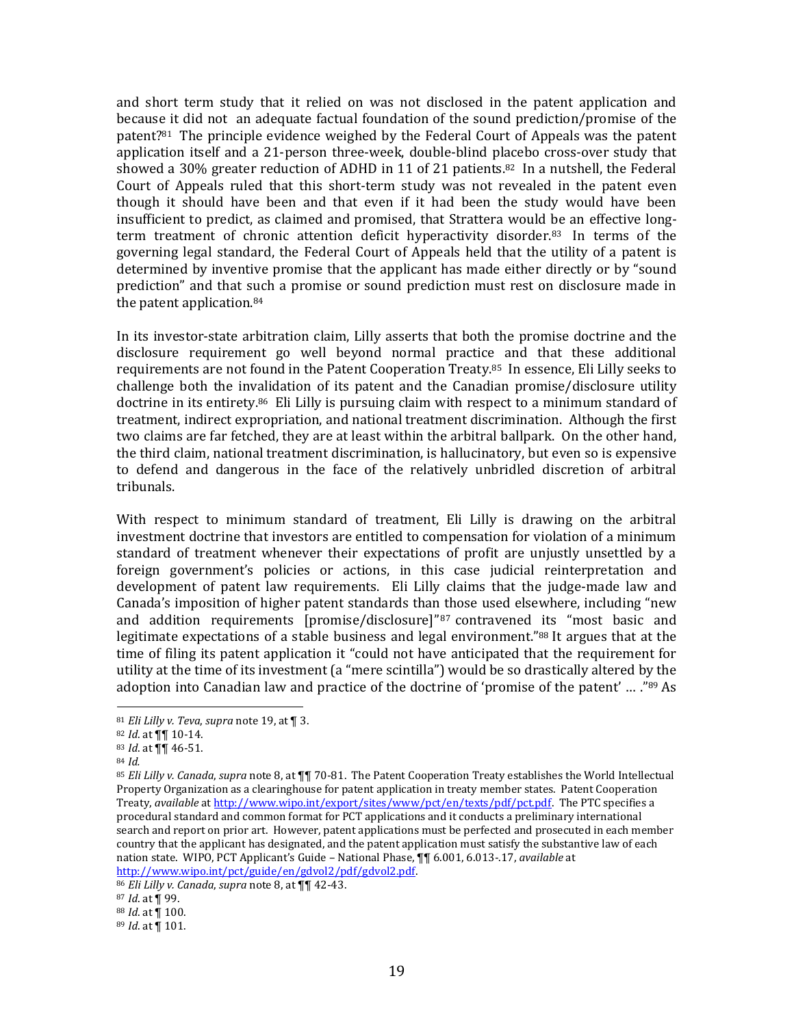and short term study that it relied on was not disclosed in the patent application and because it did not an adequate factual foundation of the sound prediction/promise of the patent?81 The principle evidence weighed by the Federal Court of Appeals was the patent application itself and a 21-person three-week, double-blind placebo cross-over study that showed a 30% greater reduction of ADHD in 11 of 21 patients.<sup>82</sup> In a nutshell, the Federal Court of Appeals ruled that this short-term study was not revealed in the patent even though it should have been and that even if it had been the study would have been insufficient to predict, as claimed and promised, that Strattera would be an effective longterm treatment of chronic attention deficit hyperactivity disorder.83 In terms of the governing legal standard, the Federal Court of Appeals held that the utility of a patent is determined by inventive promise that the applicant has made either directly or by "sound prediction" and that such a promise or sound prediction must rest on disclosure made in the patent application.<sup>84</sup>

In its investor-state arbitration claim, Lilly asserts that both the promise doctrine and the disclosure requirement go well beyond normal practice and that these additional requirements are not found in the Patent Cooperation Treaty.<sup>85</sup> In essence, Eli Lilly seeks to challenge both the invalidation of its patent and the Canadian promise/disclosure utility doctrine in its entirety.86 Eli Lilly is pursuing claim with respect to a minimum standard of treatment, indirect expropriation, and national treatment discrimination. Although the first two claims are far fetched, they are at least within the arbitral ballpark. On the other hand, the third claim, national treatment discrimination, is hallucinatory, but even so is expensive to defend and dangerous in the face of the relatively unbridled discretion of arbitral tribunals.

With respect to minimum standard of treatment, Eli Lilly is drawing on the arbitral investment doctrine that investors are entitled to compensation for violation of a minimum standard of treatment whenever their expectations of profit are unjustly unsettled by a foreign government's policies or actions, in this case judicial reinterpretation and development of patent law requirements. Eli Lilly claims that the judge-made law and Canada's imposition of higher patent standards than those used elsewhere, including "new and addition requirements [promise/disclosure]"87 contravened its "most basic and legitimate expectations of a stable business and legal environment."<sup>88</sup> It argues that at the time of filing its patent application it "could not have anticipated that the requirement for utility at the time of its investment (a "mere scintilla") would be so drastically altered by the adoption into Canadian law and practice of the doctrine of 'promise of the patent' … ."<sup>89</sup> As

l

<sup>81</sup> *Eli Lilly v. Teva*, *supra* note 19, at ¶ 3.

<sup>82</sup> *Id*. at ¶¶ 10-14.

<sup>83</sup> *Id*. at ¶¶ 46-51.

<sup>84</sup> *Id.*

<sup>85</sup> *Eli Lilly v. Canada*, *supra* note 8, at ¶¶ 70-81. The Patent Cooperation Treaty establishes the World Intellectual Property Organization as a clearinghouse for patent application in treaty member states. Patent Cooperation Treaty, *available* a[t http://www.wipo.int/export/sites/www/pct/en/texts/pdf/pct.pdf.](http://www.wipo.int/export/sites/www/pct/en/texts/pdf/pct.pdf) The PTC specifies a procedural standard and common format for PCT applications and it conducts a preliminary international search and report on prior art. However, patent applications must be perfected and prosecuted in each member country that the applicant has designated, and the patent application must satisfy the substantive law of each nation state. WIPO, PCT Applicant's Guide – National Phase, ¶¶ 6.001, 6.013-.17, *available* at [http://www.wipo.int/pct/guide/en/gdvol2/pdf/gdvol2.pdf.](http://www.wipo.int/pct/guide/en/gdvol2/pdf/gdvol2.pdf) 

<sup>86</sup> *Eli Lilly v. Canada*, *supra* note 8, at ¶¶ 42-43.

<sup>87</sup> *Id*. at ¶ 99.

<sup>88</sup> *Id*. at ¶ 100.

<sup>89</sup> *Id*. at ¶ 101.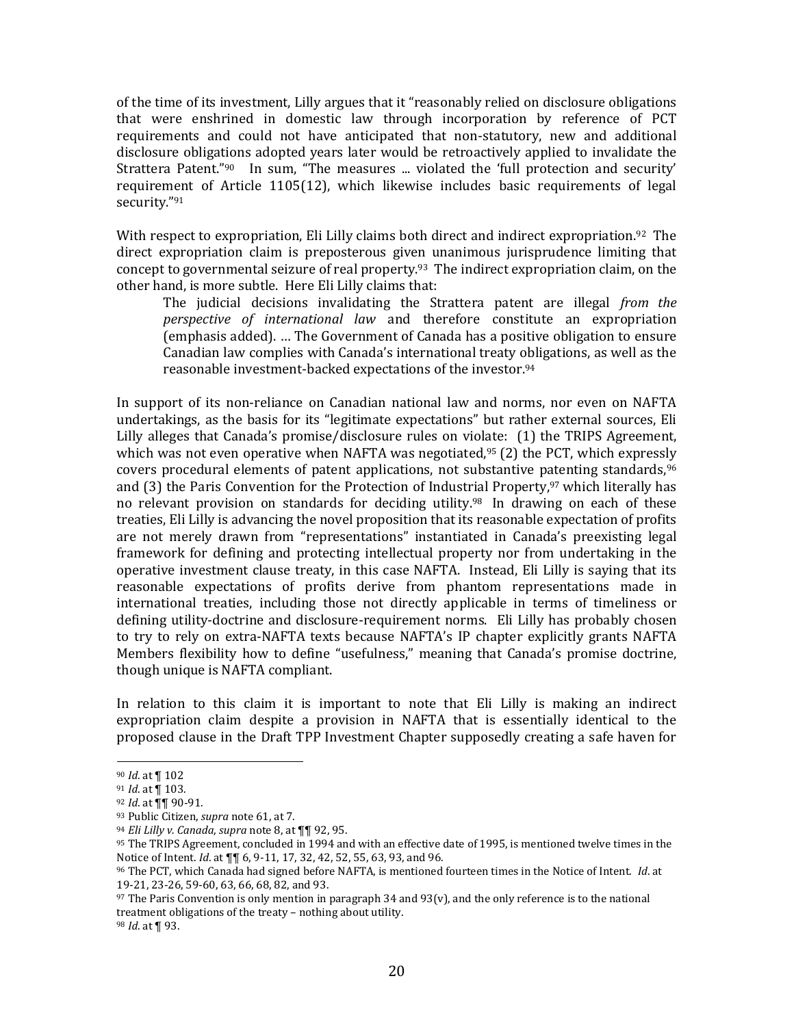of the time of its investment, Lilly argues that it "reasonably relied on disclosure obligations that were enshrined in domestic law through incorporation by reference of PCT requirements and could not have anticipated that non-statutory, new and additional disclosure obligations adopted years later would be retroactively applied to invalidate the Strattera Patent."<sup>90</sup> In sum, "The measures ... violated the 'full protection and security' requirement of Article 1105(12), which likewise includes basic requirements of legal security."<sup>91</sup>

With respect to expropriation, Eli Lilly claims both direct and indirect expropriation.<sup>92</sup> The direct expropriation claim is preposterous given unanimous jurisprudence limiting that concept to governmental seizure of real property.93 The indirect expropriation claim, on the other hand, is more subtle. Here Eli Lilly claims that:

The judicial decisions invalidating the Strattera patent are illegal *from the perspective of international law* and therefore constitute an expropriation (emphasis added). … The Government of Canada has a positive obligation to ensure Canadian law complies with Canada's international treaty obligations, as well as the reasonable investment-backed expectations of the investor.<sup>94</sup>

In support of its non-reliance on Canadian national law and norms, nor even on NAFTA undertakings, as the basis for its "legitimate expectations" but rather external sources, Eli Lilly alleges that Canada's promise/disclosure rules on violate: (1) the TRIPS Agreement, which was not even operative when NAFTA was negotiated,<sup>95</sup> (2) the PCT, which expressly covers procedural elements of patent applications, not substantive patenting standards,<sup>96</sup> and (3) the Paris Convention for the Protection of Industrial Property,<sup>97</sup> which literally has no relevant provision on standards for deciding utility.<sup>98</sup> In drawing on each of these treaties, Eli Lilly is advancing the novel proposition that its reasonable expectation of profits are not merely drawn from "representations" instantiated in Canada's preexisting legal framework for defining and protecting intellectual property nor from undertaking in the operative investment clause treaty, in this case NAFTA. Instead, Eli Lilly is saying that its reasonable expectations of profits derive from phantom representations made in international treaties, including those not directly applicable in terms of timeliness or defining utility-doctrine and disclosure-requirement norms. Eli Lilly has probably chosen to try to rely on extra-NAFTA texts because NAFTA's IP chapter explicitly grants NAFTA Members flexibility how to define "usefulness," meaning that Canada's promise doctrine, though unique is NAFTA compliant.

In relation to this claim it is important to note that Eli Lilly is making an indirect expropriation claim despite a provision in NAFTA that is essentially identical to the proposed clause in the Draft TPP Investment Chapter supposedly creating a safe haven for

 $\overline{a}$ 

<sup>98</sup> *Id*. at ¶ 93.

<sup>90</sup> *Id*. at ¶ 102

<sup>91</sup> *Id*. at ¶ 103.

<sup>92</sup> *Id*. at ¶¶ 90-91.

<sup>93</sup> Public Citizen, *supra* note 61, at 7.

<sup>94</sup> *Eli Lilly v. Canada*, *supra* note 8, at ¶¶ 92, 95.

<sup>95</sup> The TRIPS Agreement, concluded in 1994 and with an effective date of 1995, is mentioned twelve times in the Notice of Intent. *Id*. at ¶¶ 6, 9-11, 17, 32, 42, 52, 55, 63, 93, and 96.

<sup>96</sup> The PCT, which Canada had signed before NAFTA, is mentioned fourteen times in the Notice of Intent. *Id*. at 19-21, 23-26, 59-60, 63, 66, 68, 82, and 93.

<sup>97</sup> The Paris Convention is only mention in paragraph 34 and 93(v), and the only reference is to the national treatment obligations of the treaty – nothing about utility.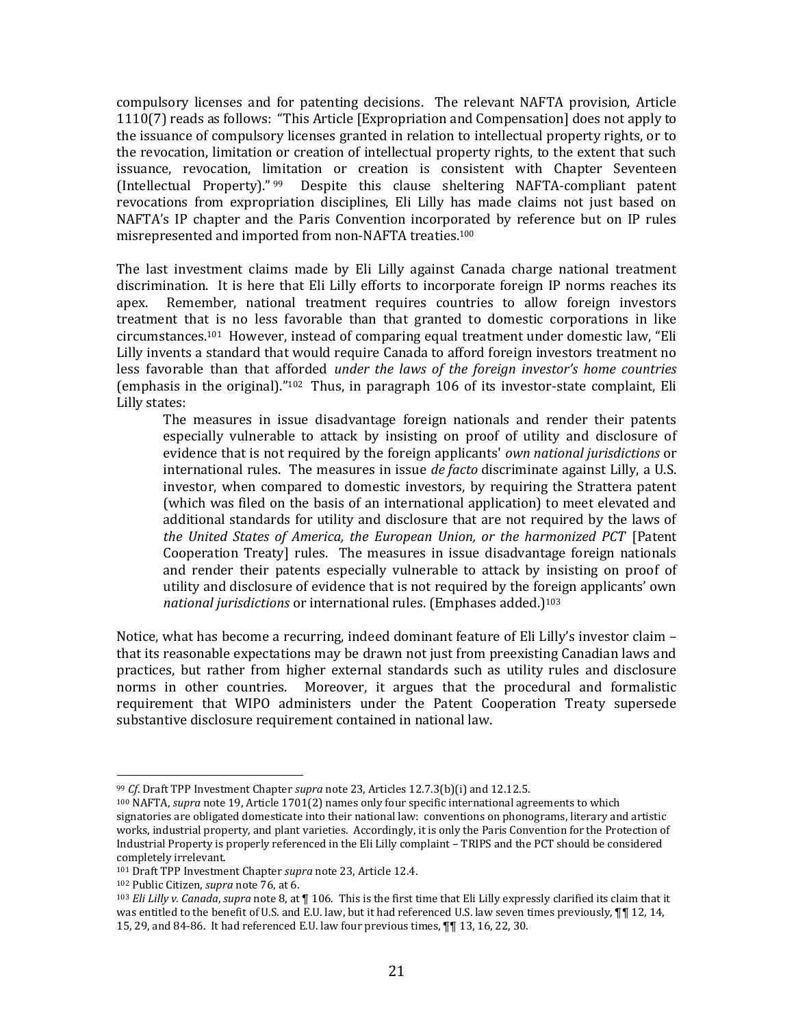compulsory licenses and for patenting decisions. The relevant NAFTA provision, Article 1110(7) reads as follows: "This Article [Expropriation and Compensation] does not apply to the issuance of compulsory licenses granted in relation to intellectual property rights, or to the revocation, limitation or creation of intellectual property rights, to the extent that such issuance, revocation, limitation or creation is consistent with Chapter Seventeen (Intellectual Property)." <sup>99</sup> Despite this clause sheltering NAFTA-compliant patent revocations from expropriation disciplines, Eli Lilly has made claims not just based on NAFTA's IP chapter and the Paris Convention incorporated by reference but on IP rules misrepresented and imported from non-NAFTA treaties.<sup>100</sup>

The last investment claims made by Eli Lilly against Canada charge national treatment discrimination. It is here that Eli Lilly efforts to incorporate foreign IP norms reaches its apex. Remember, national treatment requires countries to allow foreign investors treatment that is no less favorable than that granted to domestic corporations in like circumstances.101 However, instead of comparing equal treatment under domestic law, "Eli Lilly invents a standard that would require Canada to afford foreign investors treatment no less favorable than that afforded *under the laws of the foreign investor's home countries* (emphasis in the original)."102 Thus, in paragraph 106 of its investor-state complaint, Eli Lilly states:

The measures in issue disadvantage foreign nationals and render their patents especially vulnerable to attack by insisting on proof of utility and disclosure of evidence that is not required by the foreign applicants' *own national jurisdictions* or international rules. The measures in issue *de facto* discriminate against Lilly, a U.S. investor, when compared to domestic investors, by requiring the Strattera patent (which was filed on the basis of an international application) to meet elevated and additional standards for utility and disclosure that are not required by the laws of *the United States of America, the European Union, or the harmonized PCT* [Patent Cooperation Treaty] rules. The measures in issue disadvantage foreign nationals and render their patents especially vulnerable to attack by insisting on proof of utility and disclosure of evidence that is not required by the foreign applicants' own *national jurisdictions* or international rules. (Emphases added.)<sup>103</sup>

Notice, what has become a recurring, indeed dominant feature of Eli Lilly's investor claim – that its reasonable expectations may be drawn not just from preexisting Canadian laws and practices, but rather from higher external standards such as utility rules and disclosure norms in other countries. Moreover, it argues that the procedural and formalistic requirement that WIPO administers under the Patent Cooperation Treaty supersede substantive disclosure requirement contained in national law.

l

<sup>99</sup> *Cf*. Draft TPP Investment Chapter *supra* note 23, Articles 12.7.3(b)(i) and 12.12.5.

<sup>100</sup> NAFTA, *supra* note 19, Article 1701(2) names only four specific international agreements to which signatories are obligated domesticate into their national law: conventions on phonograms, literary and artistic works, industrial property, and plant varieties. Accordingly, it is only the Paris Convention for the Protection of Industrial Property is properly referenced in the Eli Lilly complaint – TRIPS and the PCT should be considered completely irrelevant.

<sup>101</sup> Draft TPP Investment Chapter *supra* note 23, Article 12.4.

<sup>102</sup> Public Citizen, *supra* note 76, at 6.

<sup>103</sup> *Eli Lilly v. Canada*, *supra* note 8, at ¶ 106. This is the first time that Eli Lilly expressly clarified its claim that it was entitled to the benefit of U.S. and E.U. law, but it had referenced U.S. law seven times previously,  $\P\P$  12, 14, 15, 29, and 84-86. It had referenced E.U. law four previous times, ¶¶ 13, 16, 22, 30.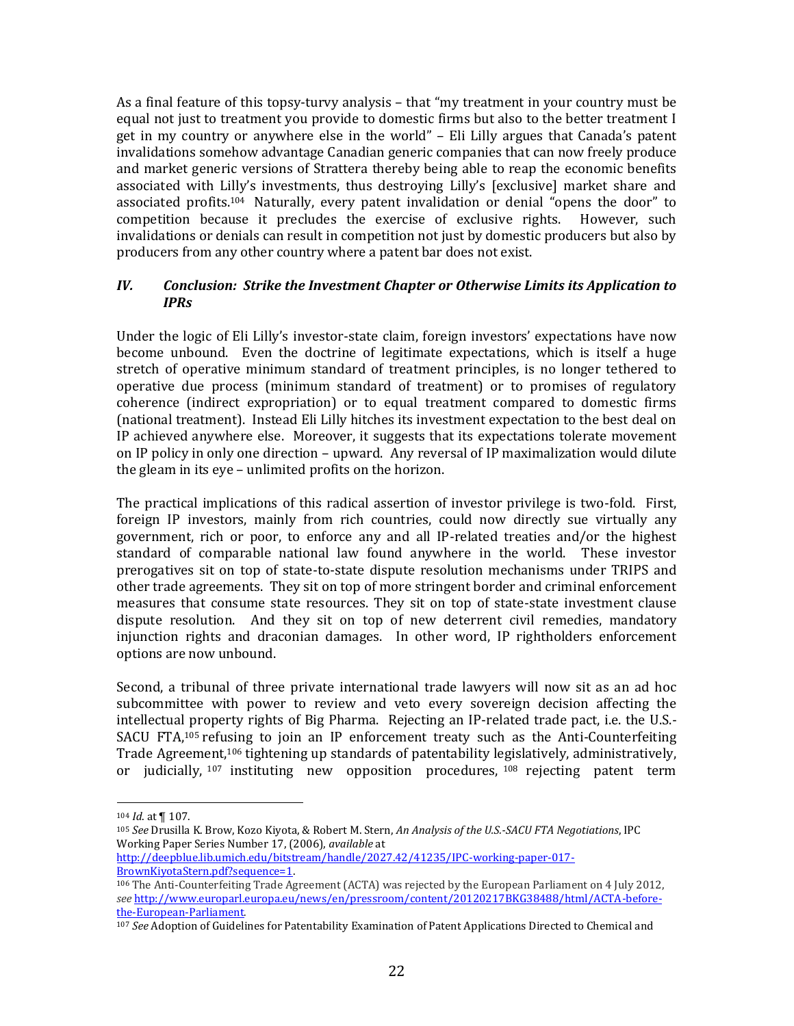As a final feature of this topsy-turvy analysis – that "my treatment in your country must be equal not just to treatment you provide to domestic firms but also to the better treatment I get in my country or anywhere else in the world" – Eli Lilly argues that Canada's patent invalidations somehow advantage Canadian generic companies that can now freely produce and market generic versions of Strattera thereby being able to reap the economic benefits associated with Lilly's investments, thus destroying Lilly's [exclusive] market share and associated profits.<sup>104</sup> Naturally, every patent invalidation or denial "opens the door" to competition because it precludes the exercise of exclusive rights. However, such invalidations or denials can result in competition not just by domestic producers but also by producers from any other country where a patent bar does not exist.

#### *IV. Conclusion: Strike the Investment Chapter or Otherwise Limits its Application to IPRs*

Under the logic of Eli Lilly's investor-state claim, foreign investors' expectations have now become unbound. Even the doctrine of legitimate expectations, which is itself a huge stretch of operative minimum standard of treatment principles, is no longer tethered to operative due process (minimum standard of treatment) or to promises of regulatory coherence (indirect expropriation) or to equal treatment compared to domestic firms (national treatment). Instead Eli Lilly hitches its investment expectation to the best deal on IP achieved anywhere else. Moreover, it suggests that its expectations tolerate movement on IP policy in only one direction – upward. Any reversal of IP maximalization would dilute the gleam in its eye – unlimited profits on the horizon.

The practical implications of this radical assertion of investor privilege is two-fold. First, foreign IP investors, mainly from rich countries, could now directly sue virtually any government, rich or poor, to enforce any and all IP-related treaties and/or the highest standard of comparable national law found anywhere in the world. These investor prerogatives sit on top of state-to-state dispute resolution mechanisms under TRIPS and other trade agreements. They sit on top of more stringent border and criminal enforcement measures that consume state resources. They sit on top of state-state investment clause dispute resolution. And they sit on top of new deterrent civil remedies, mandatory injunction rights and draconian damages. In other word, IP rightholders enforcement options are now unbound.

Second, a tribunal of three private international trade lawyers will now sit as an ad hoc subcommittee with power to review and veto every sovereign decision affecting the intellectual property rights of Big Pharma. Rejecting an IP-related trade pact, i.e. the U.S.- SACU FTA,<sup>105</sup> refusing to join an IP enforcement treaty such as the Anti-Counterfeiting Trade Agreement,<sup>106</sup> tightening up standards of patentability legislatively, administratively, or judicially, <sup>107</sup> instituting new opposition procedures, <sup>108</sup> rejecting patent term

l

<sup>105</sup> *See* Drusilla K. Brow, Kozo Kiyota, & Robert M. Stern, *An Analysis of the U.S.-SACU FTA Negotiations*, IPC Working Paper Series Number 17, (2006), *available* at

<sup>104</sup> *Id*. at ¶ 107.

[http://deepblue.lib.umich.edu/bitstream/handle/2027.42/41235/IPC-working-paper-017-](http://deepblue.lib.umich.edu/bitstream/handle/2027.42/41235/IPC-working-paper-017-BrownKiyotaStern.pdf?sequence=1) [BrownKiyotaStern.pdf?sequence=1.](http://deepblue.lib.umich.edu/bitstream/handle/2027.42/41235/IPC-working-paper-017-BrownKiyotaStern.pdf?sequence=1) 

<sup>106</sup> The Anti-Counterfeiting Trade Agreement (ACTA) was rejected by the European Parliament on 4 July 2012, *see* [http://www.europarl.europa.eu/news/en/pressroom/content/20120217BKG38488/html/ACTA-before](http://www.europarl.europa.eu/news/en/pressroom/content/20120217BKG38488/html/ACTA-before-the-European-Parliament)[the-European-Parliament.](http://www.europarl.europa.eu/news/en/pressroom/content/20120217BKG38488/html/ACTA-before-the-European-Parliament) 

<sup>107</sup> *See* Adoption of Guidelines for Patentability Examination of Patent Applications Directed to Chemical and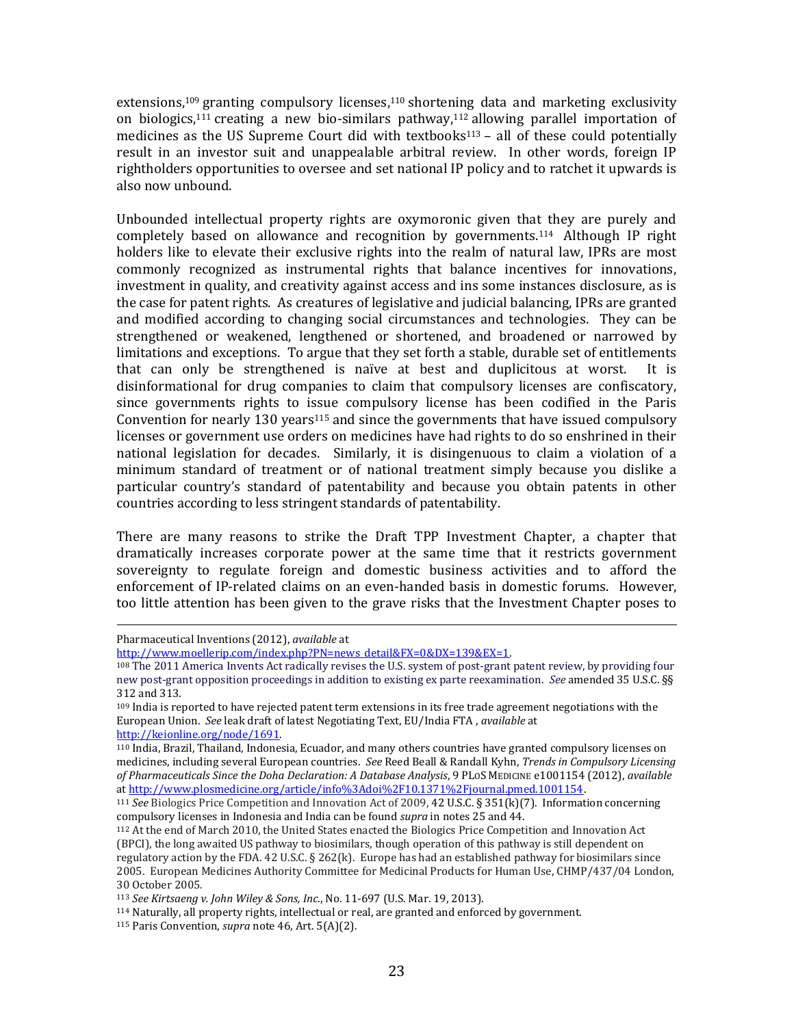extensions, $109$  granting compulsory licenses, $110$  shortening data and marketing exclusivity on biologics,<sup>111</sup> creating a new bio-similars pathway,<sup>112</sup> allowing parallel importation of medicines as the US Supreme Court did with textbooks<sup>113</sup> – all of these could potentially result in an investor suit and unappealable arbitral review. In other words, foreign IP rightholders opportunities to oversee and set national IP policy and to ratchet it upwards is also now unbound.

Unbounded intellectual property rights are oxymoronic given that they are purely and completely based on allowance and recognition by governments.114 Although IP right holders like to elevate their exclusive rights into the realm of natural law, IPRs are most commonly recognized as instrumental rights that balance incentives for innovations, investment in quality, and creativity against access and ins some instances disclosure, as is the case for patent rights. As creatures of legislative and judicial balancing, IPRs are granted and modified according to changing social circumstances and technologies. They can be strengthened or weakened, lengthened or shortened, and broadened or narrowed by limitations and exceptions. To argue that they set forth a stable, durable set of entitlements that can only be strengthened is naïve at best and duplicitous at worst. It is disinformational for drug companies to claim that compulsory licenses are confiscatory, since governments rights to issue compulsory license has been codified in the Paris Convention for nearly 130 years<sup>115</sup> and since the governments that have issued compulsory licenses or government use orders on medicines have had rights to do so enshrined in their national legislation for decades. Similarly, it is disingenuous to claim a violation of a minimum standard of treatment or of national treatment simply because you dislike a particular country's standard of patentability and because you obtain patents in other countries according to less stringent standards of patentability.

There are many reasons to strike the Draft TPP Investment Chapter, a chapter that dramatically increases corporate power at the same time that it restricts government sovereignty to regulate foreign and domestic business activities and to afford the enforcement of IP-related claims on an even-handed basis in domestic forums. However, too little attention has been given to the grave risks that the Investment Chapter poses to

Pharmaceutical Inventions (2012), *available* at

[http://www.moellerip.com/index.php?PN=news\\_detail&FX=0&DX=139&EX=1.](http://www.moellerip.com/index.php?PN=news_detail&FX=0&DX=139&EX=1) 

<sup>&</sup>lt;sup>108</sup> The 2011 America Invents Act radically revises the U.S. system of post-grant patent review, by providing four new post-grant opposition proceedings in addition to existing ex parte reexamination. *See* amended 35 U.S.C. §§ 312 and 313.

<sup>109</sup> India is reported to have rejected patent term extensions in its free trade agreement negotiations with the European Union. *See* leak draft of latest Negotiating Text, EU/India FTA , *available* at [http://keionline.org/node/1691.](http://keionline.org/node/1691) 

<sup>110</sup> India, Brazil, Thailand, Indonesia, Ecuador, and many others countries have granted compulsory licenses on medicines, including several European countries. *See* Reed Beall & Randall Kyhn, *Trends in Compulsory Licensing of Pharmaceuticals Since the Doha Declaration: A Database Analysis*, 9 PLOS MEDICINE e1001154 (2012), *available* a[t http://www.plosmedicine.org/article/info%3Adoi%2F10.1371%2Fjournal.pmed.1001154.](http://www.plosmedicine.org/article/info%3Adoi%2F10.1371%2Fjournal.pmed.1001154) 

<sup>111</sup> *See* Biologics Price Competition and Innovation Act of 2009, 42 U.S.C. § 351(k)(7). Information concerning compulsory licenses in Indonesia and India can be found *supra* in notes 25 and 44.

<sup>112</sup> At the end of March 2010, the United States enacted the Biologics Price Competition and Innovation Act (BPCI), the long awaited US pathway to biosimilars, though operation of this pathway is still dependent on regulatory action by the FDA. 42 U.S.C. § 262(k). Europe has had an established pathway for biosimilars since 2005. European Medicines Authority Committee for Medicinal Products for Human Use, CHMP/437/04 London, 30 October 2005.

<sup>113</sup> *See Kirtsaeng v. John Wiley & Sons, Inc*., No. 11-697 (U.S. Mar. 19, 2013).

<sup>114</sup> Naturally, all property rights, intellectual or real, are granted and enforced by government.

<sup>115</sup> Paris Convention, *supra* note 46, Art. 5(A)(2).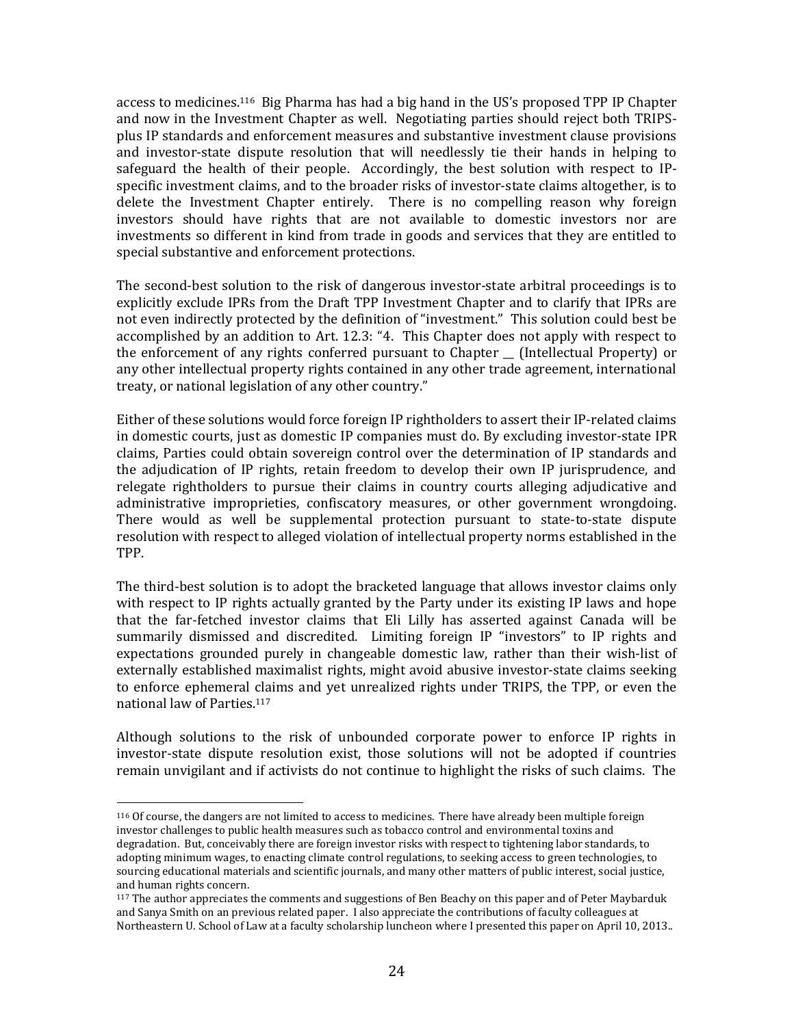access to medicines.116 Big Pharma has had a big hand in the US's proposed TPP IP Chapter and now in the Investment Chapter as well. Negotiating parties should reject both TRIPSplus IP standards and enforcement measures and substantive investment clause provisions and investor-state dispute resolution that will needlessly tie their hands in helping to safeguard the health of their people. Accordingly, the best solution with respect to IPspecific investment claims, and to the broader risks of investor-state claims altogether, is to delete the Investment Chapter entirely. There is no compelling reason why foreign investors should have rights that are not available to domestic investors nor are investments so different in kind from trade in goods and services that they are entitled to special substantive and enforcement protections.

The second-best solution to the risk of dangerous investor-state arbitral proceedings is to explicitly exclude IPRs from the Draft TPP Investment Chapter and to clarify that IPRs are not even indirectly protected by the definition of "investment." This solution could best be accomplished by an addition to Art. 12.3: "4. This Chapter does not apply with respect to the enforcement of any rights conferred pursuant to Chapter \_\_ (Intellectual Property) or any other intellectual property rights contained in any other trade agreement, international treaty, or national legislation of any other country."

Either of these solutions would force foreign IP rightholders to assert their IP-related claims in domestic courts, just as domestic IP companies must do. By excluding investor-state IPR claims, Parties could obtain sovereign control over the determination of IP standards and the adjudication of IP rights, retain freedom to develop their own IP jurisprudence, and relegate rightholders to pursue their claims in country courts alleging adjudicative and administrative improprieties, confiscatory measures, or other government wrongdoing. There would as well be supplemental protection pursuant to state-to-state dispute resolution with respect to alleged violation of intellectual property norms established in the TPP.

The third-best solution is to adopt the bracketed language that allows investor claims only with respect to IP rights actually granted by the Party under its existing IP laws and hope that the far-fetched investor claims that Eli Lilly has asserted against Canada will be summarily dismissed and discredited. Limiting foreign IP "investors" to IP rights and expectations grounded purely in changeable domestic law, rather than their wish-list of externally established maximalist rights, might avoid abusive investor-state claims seeking to enforce ephemeral claims and yet unrealized rights under TRIPS, the TPP, or even the national law of Parties.<sup>117</sup>

Although solutions to the risk of unbounded corporate power to enforce IP rights in investor-state dispute resolution exist, those solutions will not be adopted if countries remain unvigilant and if activists do not continue to highlight the risks of such claims. The

l

<sup>116</sup> Of course, the dangers are not limited to access to medicines. There have already been multiple foreign investor challenges to public health measures such as tobacco control and environmental toxins and degradation. But, conceivably there are foreign investor risks with respect to tightening labor standards, to adopting minimum wages, to enacting climate control regulations, to seeking access to green technologies, to sourcing educational materials and scientific journals, and many other matters of public interest, social justice, and human rights concern.

<sup>117</sup> The author appreciates the comments and suggestions of Ben Beachy on this paper and of Peter Maybarduk and Sanya Smith on an previous related paper. I also appreciate the contributions of faculty colleagues at Northeastern U. School of Law at a faculty scholarship luncheon where I presented this paper on April 10, 2013..